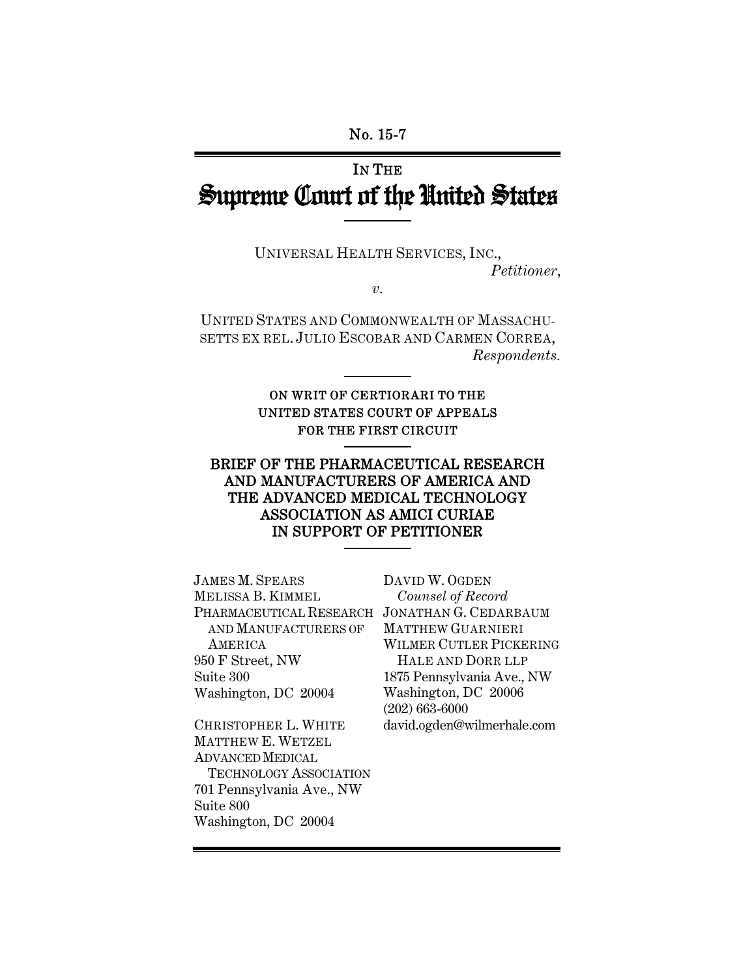## IN THE Supreme Court of the United States

UNIVERSAL HEALTH SERVICES, INC., *Petitioner*,

*v.* 

UNITED STATES AND COMMONWEALTH OF MASSACHU-SETTS EX REL. JULIO ESCOBAR AND CARMEN CORREA, *Respondents.* 

## ON WRIT OF CERTIORARI TO THE UNITED STATES COURT OF APPEALS FOR THE FIRST CIRCUIT

## BRIEF OF THE PHARMACEUTICAL RESEARCH AND MANUFACTURERS OF AMERICA AND THE ADVANCED MEDICAL TECHNOLOGY ASSOCIATION AS AMICI CURIAE IN SUPPORT OF PETITIONER

JAMES M. SPEARS MELISSA B. KIMMEL PHARMACEUTICAL RESEARCH JONATHAN G. CEDARBAUM AND MANUFACTURERS OF **AMERICA** 950 F Street, NW Suite 300 Washington, DC 20004

CHRISTOPHER L. WHITE MATTHEW E. WETZEL ADVANCED MEDICAL TECHNOLOGY ASSOCIATION 701 Pennsylvania Ave., NW Suite 800 Washington, DC 20004

DAVID W. OGDEN *Counsel of Record* MATTHEW GUARNIERI WILMER CUTLER PICKERING HALE AND DORR LLP 1875 Pennsylvania Ave., NW Washington, DC 20006 (202) 663-6000 david.ogden@wilmerhale.com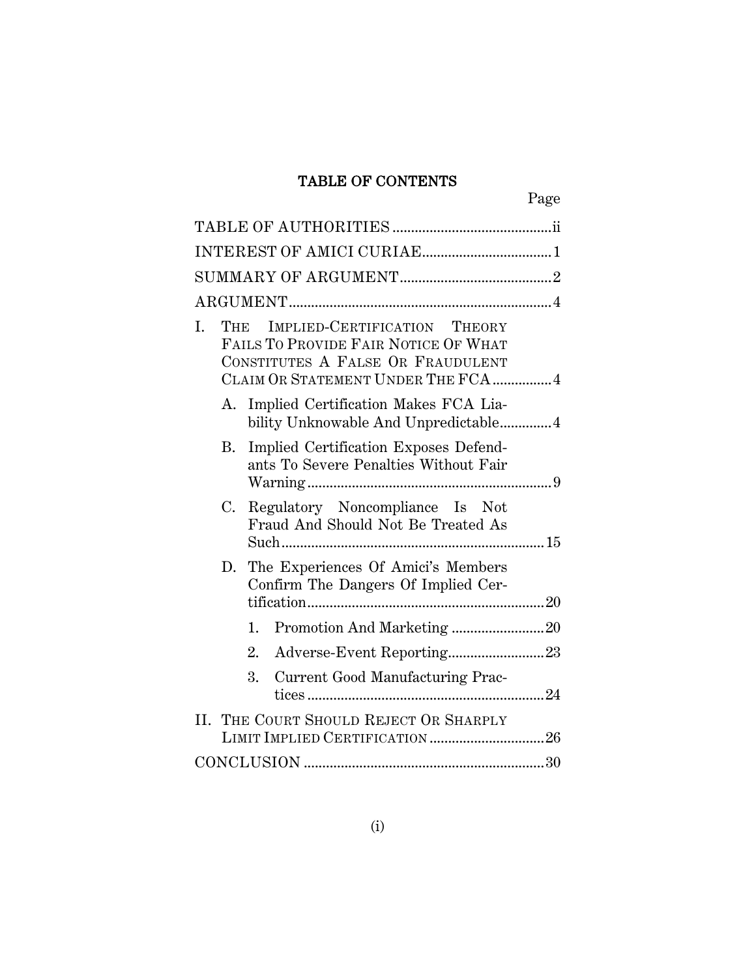## TABLE OF CONTENTS

|    |     |                                                                                                                                                  | Page |
|----|-----|--------------------------------------------------------------------------------------------------------------------------------------------------|------|
|    |     |                                                                                                                                                  |      |
|    |     |                                                                                                                                                  |      |
|    |     |                                                                                                                                                  |      |
|    |     |                                                                                                                                                  |      |
| I. | THE | IMPLIED-CERTIFICATION THEORY<br>FAILS TO PROVIDE FAIR NOTICE OF WHAT<br>CONSTITUTES A FALSE OR FRAUDULENT<br>CLAIM OR STATEMENT UNDER THE FCA  4 |      |
|    |     | A. Implied Certification Makes FCA Lia-<br>bility Unknowable And Unpredictable4                                                                  |      |
|    | B.  | Implied Certification Exposes Defend-<br>ants To Severe Penalties Without Fair                                                                   |      |
|    | C.  | Regulatory Noncompliance Is Not<br>Fraud And Should Not Be Treated As                                                                            |      |
|    |     | D. The Experiences Of Amici's Members<br>Confirm The Dangers Of Implied Cer-                                                                     |      |
|    | 1.  |                                                                                                                                                  |      |
|    | 2.  | Adverse-Event Reporting23                                                                                                                        |      |
|    | 3.  | Current Good Manufacturing Prac-                                                                                                                 |      |
|    |     | II. THE COURT SHOULD REJECT OR SHARPLY<br>LIMIT IMPLIED CERTIFICATION 26                                                                         |      |
|    |     |                                                                                                                                                  |      |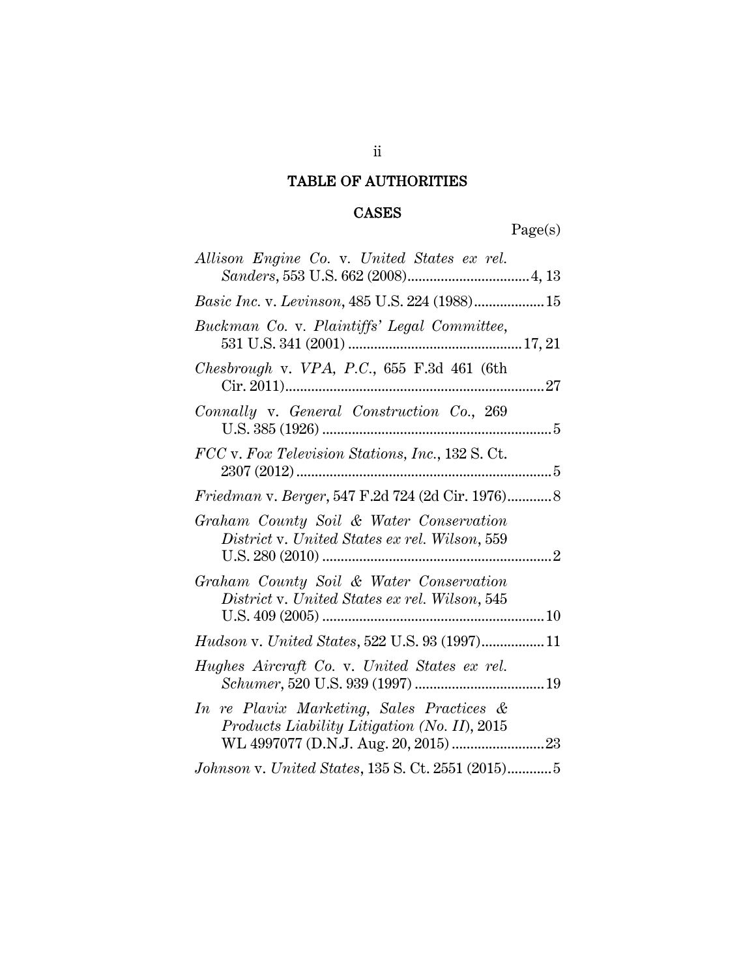## TABLE OF AUTHORITIES

## CASES

Page(s)

| Allison Engine Co. v. United States ex rel.<br>$Sanders, 553 \,\, \mathrm{U.S.} \,\, 662 \,\, (2008) \dots \dots \dots \dots \dots \dots \dots \dots \dots \dots \dots \dots \, 4, \, 13$ |  |
|-------------------------------------------------------------------------------------------------------------------------------------------------------------------------------------------|--|
| Basic Inc. v. Levinson, 485 U.S. 224 (1988) 15                                                                                                                                            |  |
| Buckman Co. v. Plaintiffs' Legal Committee,                                                                                                                                               |  |
| <i>Chesbrough v. VPA, P.C.</i> , $655$ F.3d $461$ (6th                                                                                                                                    |  |
| Connally v. General Construction Co., 269                                                                                                                                                 |  |
| FCC v. Fox Television Stations, Inc., 132 S. Ct.                                                                                                                                          |  |
| Friedman v. Berger, 547 F.2d 724 (2d Cir. 1976) 8                                                                                                                                         |  |
| Graham County Soil & Water Conservation<br>District v. United States ex rel. Wilson, 559                                                                                                  |  |
| Graham County Soil & Water Conservation<br>District v. United States ex rel. Wilson, 545                                                                                                  |  |
| Hudson v. United States, 522 U.S. 93 (1997) 11                                                                                                                                            |  |
| Hughes Aircraft Co. v. United States ex rel.                                                                                                                                              |  |
| In re Plavix Marketing, Sales Practices &<br>Products Liability Litigation (No. II), 2015                                                                                                 |  |
| Johnson v. United States, 135 S. Ct. 2551 (2015)5                                                                                                                                         |  |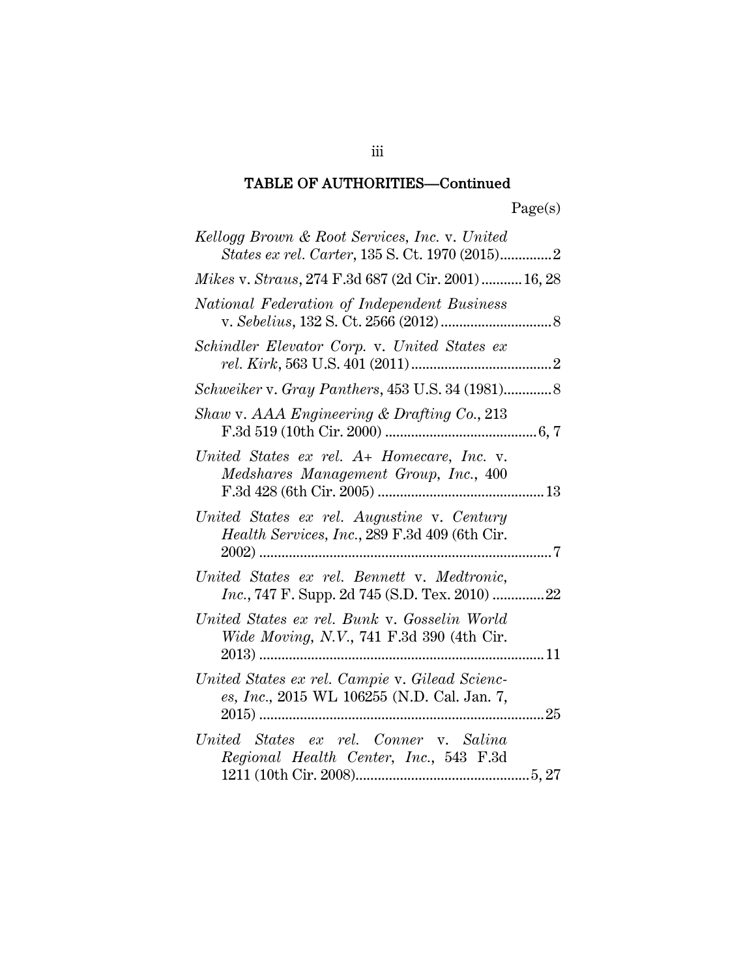| Kellogg Brown & Root Services, Inc. v. United<br>States ex rel. Carter, 135 S. Ct. 1970 (2015)2 |  |
|-------------------------------------------------------------------------------------------------|--|
| Mikes v. Straus, 274 F.3d 687 (2d Cir. 2001) 16, 28                                             |  |
| National Federation of Independent Business                                                     |  |
| Schindler Elevator Corp. v. United States ex                                                    |  |
|                                                                                                 |  |
| Shaw v. AAA Engineering & Drafting Co., 213                                                     |  |
| United States ex rel. A+ Homecare, Inc. v.<br>Medshares Management Group, Inc., 400             |  |
| United States ex rel. Augustine v. Century<br>Health Services, Inc., 289 F.3d 409 (6th Cir.     |  |
| United States ex rel. Bennett v. Medtronic,                                                     |  |
| United States ex rel. Bunk v. Gosselin World<br>Wide Moving, N.V., 741 F.3d 390 (4th Cir.       |  |
| United States ex rel. Campie v. Gilead Scienc-<br>es, Inc., 2015 WL 106255 (N.D. Cal. Jan. 7,   |  |
| United States ex rel. Conner v. Salina<br>Regional Health Center, Inc., 543 F.3d                |  |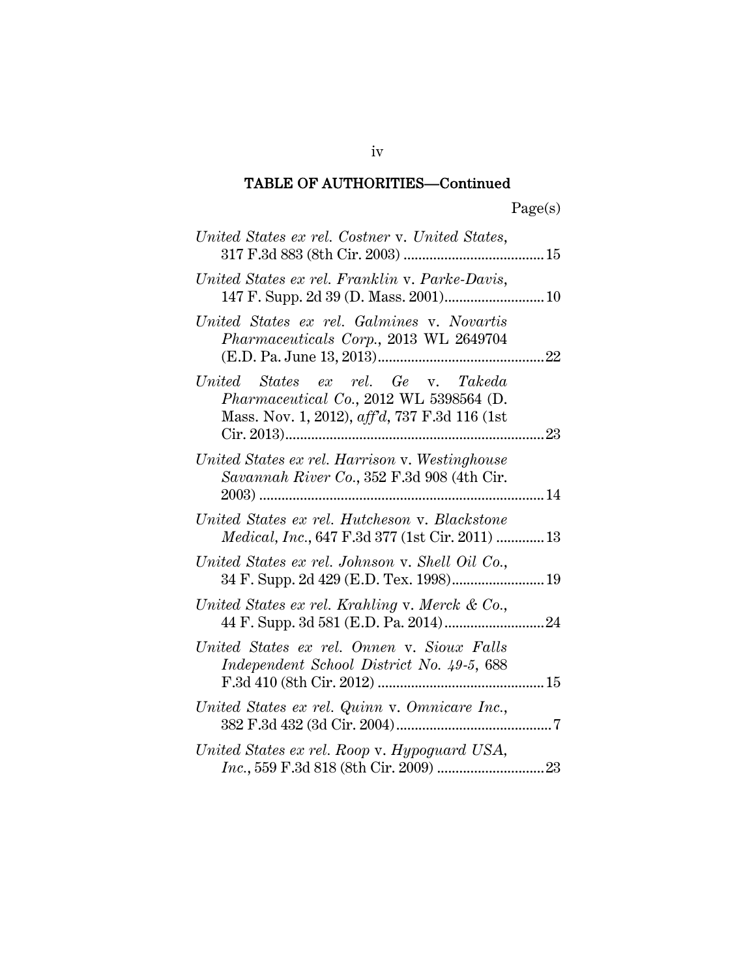| United States ex rel. Costner v. United States,                                                                                 |  |
|---------------------------------------------------------------------------------------------------------------------------------|--|
| United States ex rel. Franklin v. Parke-Davis,                                                                                  |  |
| United States ex rel. Galmines v. Novartis<br>Pharmaceuticals Corp., 2013 WL 2649704                                            |  |
| United States ex rel. Ge v. Takeda<br>Pharmaceutical Co., 2012 WL 5398564 (D.<br>Mass. Nov. 1, 2012), aff'd, 737 F.3d 116 (1st) |  |
| United States ex rel. Harrison v. Westinghouse<br>Savannah River Co., 352 F.3d 908 (4th Cir.                                    |  |
| United States ex rel. Hutcheson v. Blackstone<br><i>Medical, Inc., 647 F.3d 377 (1st Cir. 2011)  13</i>                         |  |
| United States ex rel. Johnson v. Shell Oil Co.,<br>34 F. Supp. 2d 429 (E.D. Tex. 1998) 19                                       |  |
| United States ex rel. Krahling v. Merck & Co.,                                                                                  |  |
| United States ex rel. Onnen v. Sioux Falls<br>Independent School District No. 49-5, 688                                         |  |
| United States ex rel. Quinn v. Omnicare Inc.,                                                                                   |  |
| United States ex rel. Roop v. Hypoguard USA,                                                                                    |  |

iv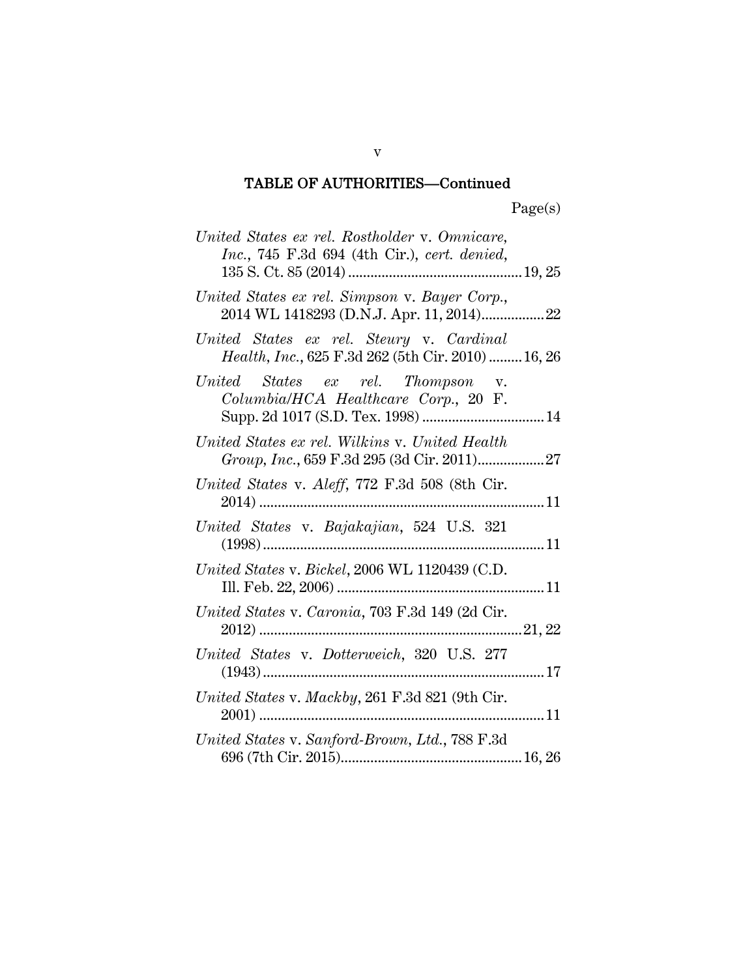| United States ex rel. Rostholder v. Omnicare,                                                  |  |
|------------------------------------------------------------------------------------------------|--|
| Inc., 745 F.3d 694 (4th Cir.), cert. denied,                                                   |  |
| United States ex rel. Simpson v. Bayer Corp.,                                                  |  |
| United States ex rel. Steury v. Cardinal<br>Health, Inc., 625 F.3d 262 (5th Cir. 2010)  16, 26 |  |
| United States ex rel. Thompson v.<br>Columbia/HCA Healthcare Corp., 20 F.                      |  |
| United States ex rel. Wilkins v. United Health                                                 |  |
| United States v. Aleff, 772 F.3d 508 (8th Cir.                                                 |  |
| United States v. Bajakajian, 524 U.S. 321                                                      |  |
| United States v. Bickel, 2006 WL 1120439 (C.D.                                                 |  |
| United States v. Caronia, 703 F.3d 149 (2d Cir.                                                |  |
| United States v. Dotterweich, 320 U.S. 277                                                     |  |
| United States v. Mackby, 261 F.3d 821 (9th Cir.                                                |  |
| United States v. Sanford-Brown, Ltd., 788 F.3d                                                 |  |

v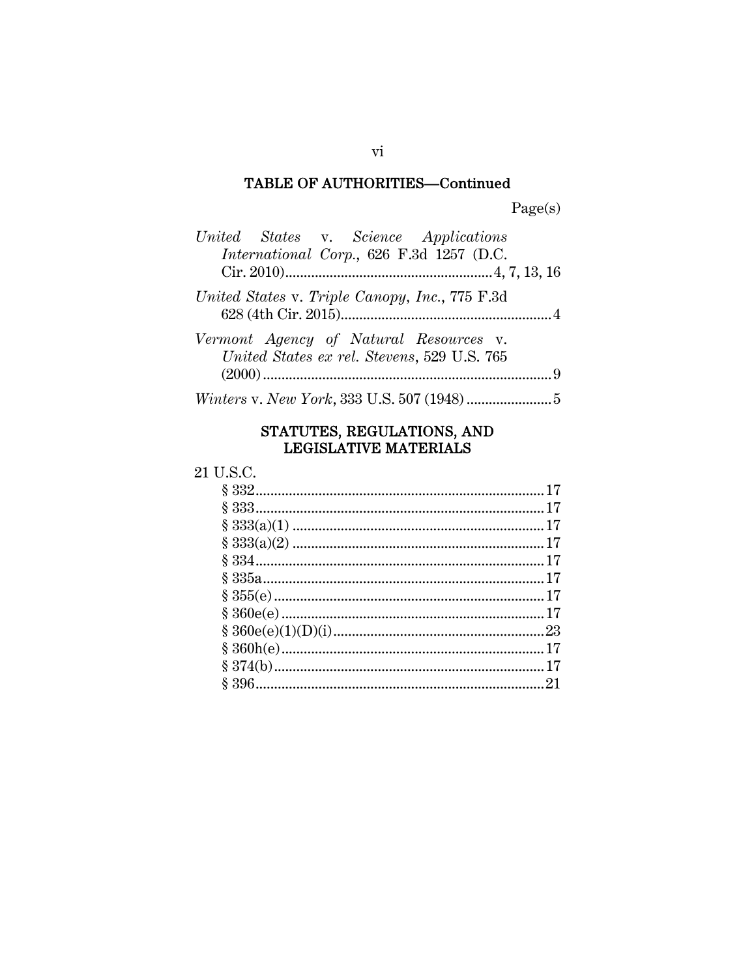| United States v. Science Applications                                                 |  |
|---------------------------------------------------------------------------------------|--|
| International Corp., 626 F.3d 1257 (D.C.                                              |  |
|                                                                                       |  |
| United States v. Triple Canopy, Inc., 775 F.3d                                        |  |
| Vermont Agency of Natural Resources v.<br>United States ex rel. Stevens, 529 U.S. 765 |  |
|                                                                                       |  |
|                                                                                       |  |

# STATUTES, REGULATIONS, AND<br>LEGISLATIVE MATERIALS

## 21 U.S.C.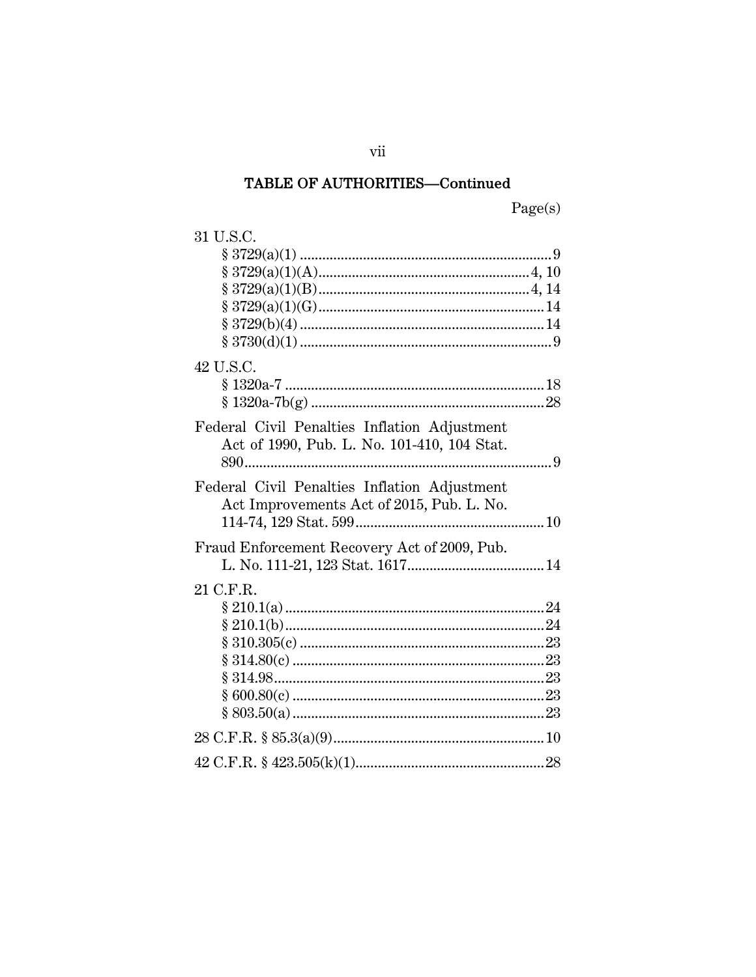Page(s)

| 31 U.S.C.                                    |  |
|----------------------------------------------|--|
|                                              |  |
|                                              |  |
|                                              |  |
|                                              |  |
|                                              |  |
|                                              |  |
| 42 U.S.C.                                    |  |
|                                              |  |
|                                              |  |
| Federal Civil Penalties Inflation Adjustment |  |
| Act of 1990, Pub. L. No. 101-410, 104 Stat.  |  |
|                                              |  |
| Federal Civil Penalties Inflation Adjustment |  |
| Act Improvements Act of 2015, Pub. L. No.    |  |
|                                              |  |
|                                              |  |
| Fraud Enforcement Recovery Act of 2009, Pub. |  |
|                                              |  |
| 21 C.F.R.                                    |  |
|                                              |  |
|                                              |  |
|                                              |  |
|                                              |  |
|                                              |  |
|                                              |  |
|                                              |  |
|                                              |  |
|                                              |  |
|                                              |  |

vii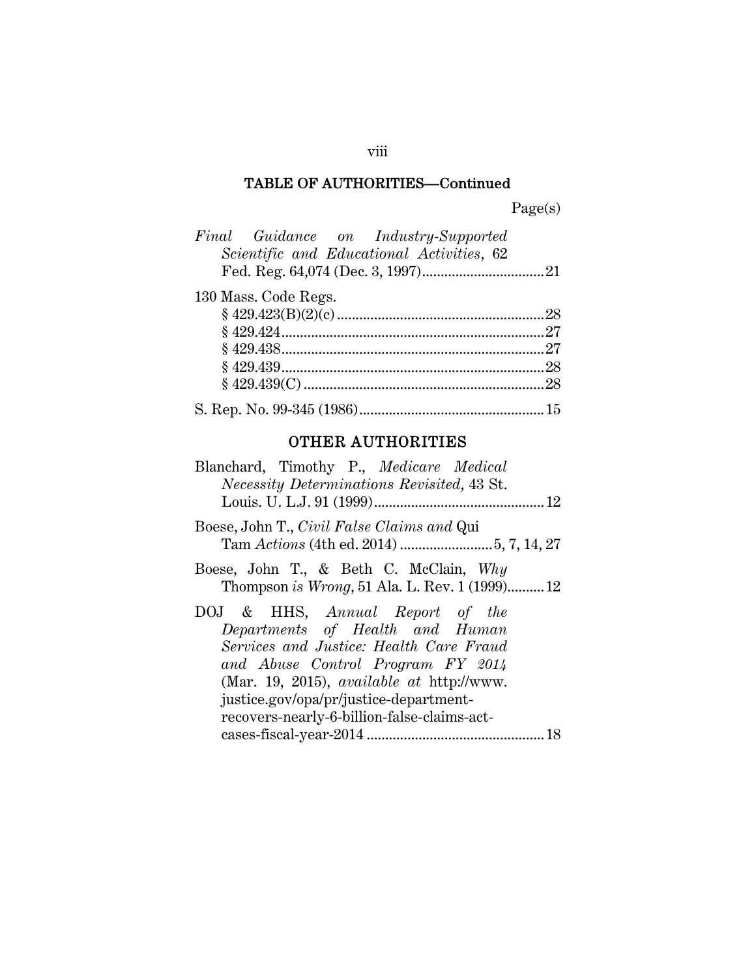Page(s)

| Final Guidance on Industry-Supported      |
|-------------------------------------------|
| Scientific and Educational Activities, 62 |
|                                           |
| 130 Mass. Code Regs.                      |
|                                           |
|                                           |
|                                           |
|                                           |
|                                           |
|                                           |

## OTHER AUTHORITIES

| Blanchard, Timothy P., Medicare Medical<br><i>Necessity Determinations Revisited, 43 St.</i>                                                                                                                                                                                                    |
|-------------------------------------------------------------------------------------------------------------------------------------------------------------------------------------------------------------------------------------------------------------------------------------------------|
| Boese, John T., Civil False Claims and Qui                                                                                                                                                                                                                                                      |
| Boese, John T., & Beth C. McClain, Why<br>Thompson is Wrong, 51 Ala. L. Rev. 1 (1999) 12                                                                                                                                                                                                        |
| DOJ & HHS, Annual Report of the<br>Departments of Health and Human<br>Services and Justice: Health Care Fraud<br>and Abuse Control Program FY 2014<br>(Mar. 19, 2015), <i>available at http://www.</i><br>justice.gov/opa/pr/justice-department-<br>recovers-nearly-6-billion-false-claims-act- |
| 18                                                                                                                                                                                                                                                                                              |

## viii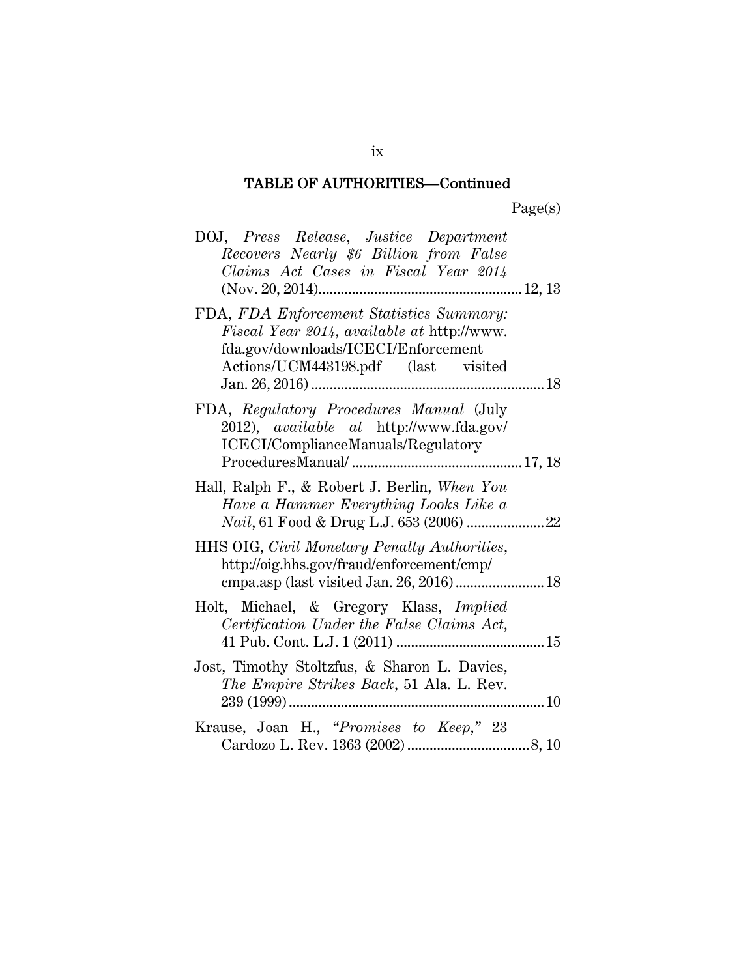| DOJ, Press Release, Justice Department<br>Recovers Nearly \$6 Billion from False<br>Claims Act Cases in Fiscal Year 2014                                             |  |
|----------------------------------------------------------------------------------------------------------------------------------------------------------------------|--|
| FDA, FDA Enforcement Statistics Summary:<br>Fiscal Year 2014, available at http://www.<br>fda.gov/downloads/ICECI/Enforcement<br>Actions/UCM443198.pdf (last visited |  |
| FDA, Regulatory Procedures Manual (July<br>2012), <i>available</i> at http://www.fda.gov/<br>ICECI/ComplianceManuals/Regulatory                                      |  |
| Hall, Ralph F., & Robert J. Berlin, When You<br>Have a Hammer Everything Looks Like a                                                                                |  |
| HHS OIG, Civil Monetary Penalty Authorities,<br>http://oig.hhs.gov/fraud/enforcement/cmp/<br>cmpa.asp (last visited Jan. 26, 2016) 18                                |  |
| Holt, Michael, & Gregory Klass, Implied<br>Certification Under the False Claims Act,                                                                                 |  |
| Jost, Timothy Stoltzfus, & Sharon L. Davies,<br>The Empire Strikes Back, 51 Ala. L. Rev.                                                                             |  |
| Krause, Joan H., "Promises to Keep," 23                                                                                                                              |  |

ix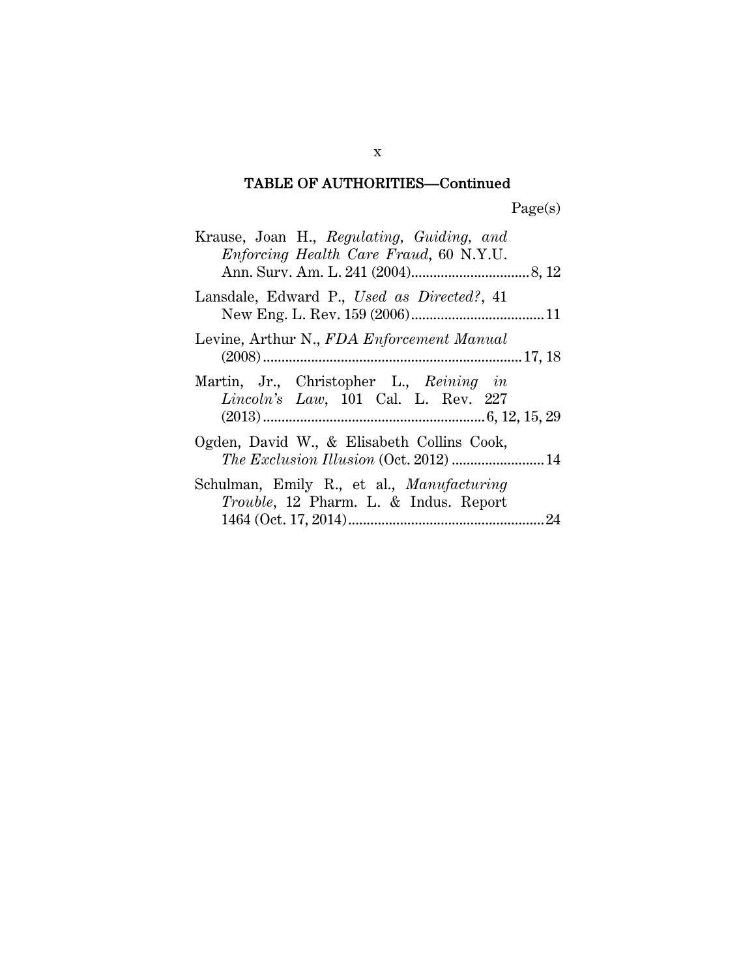| Krause, Joan H., Regulating, Guiding, and<br>Enforcing Health Care Fraud, 60 N.Y.U.               |
|---------------------------------------------------------------------------------------------------|
| Lansdale, Edward P., Used as Directed?, 41                                                        |
| Levine, Arthur N., FDA Enforcement Manual                                                         |
| Martin, Jr., Christopher L., Reining in<br>Lincoln's Law, 101 Cal. L. Rev. 227                    |
| Ogden, David W., & Elisabeth Collins Cook,                                                        |
| Schulman, Emily R., et al., <i>Manufacturing</i><br><i>Trouble</i> , 12 Pharm. L. & Indus. Report |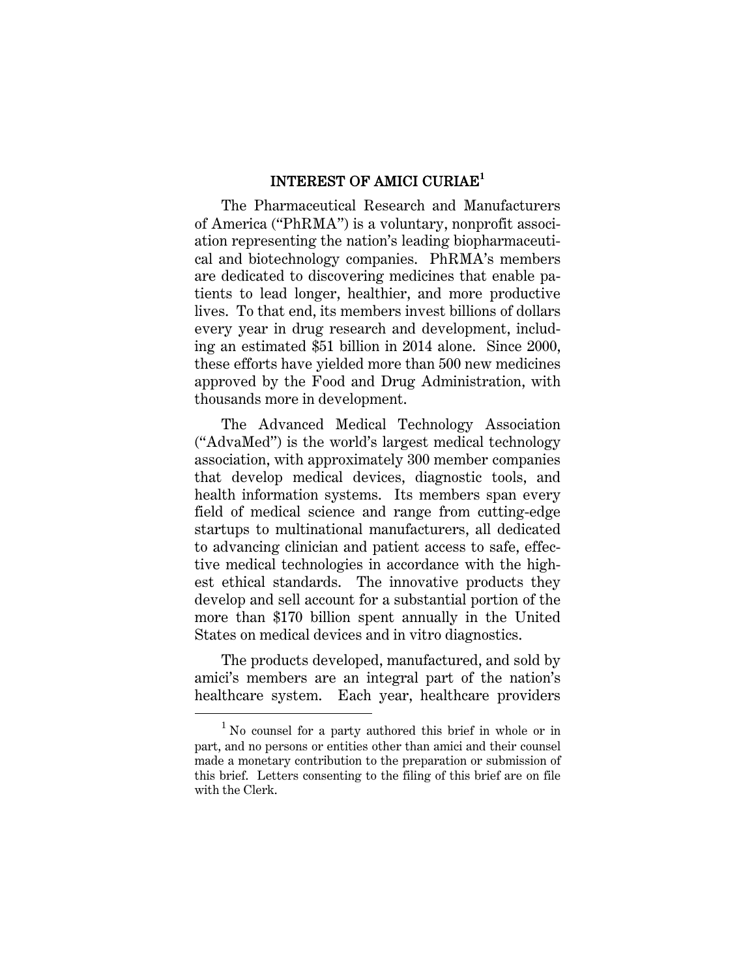#### INTEREST OF AMICI CURIAE**<sup>1</sup>**

The Pharmaceutical Research and Manufacturers of America ("PhRMA") is a voluntary, nonprofit association representing the nation's leading biopharmaceutical and biotechnology companies. PhRMA's members are dedicated to discovering medicines that enable patients to lead longer, healthier, and more productive lives. To that end, its members invest billions of dollars every year in drug research and development, including an estimated \$51 billion in 2014 alone. Since 2000, these efforts have yielded more than 500 new medicines approved by the Food and Drug Administration, with thousands more in development.

The Advanced Medical Technology Association ("AdvaMed") is the world's largest medical technology association, with approximately 300 member companies that develop medical devices, diagnostic tools, and health information systems. Its members span every field of medical science and range from cutting-edge startups to multinational manufacturers, all dedicated to advancing clinician and patient access to safe, effective medical technologies in accordance with the highest ethical standards. The innovative products they develop and sell account for a substantial portion of the more than \$170 billion spent annually in the United States on medical devices and in vitro diagnostics.

The products developed, manufactured, and sold by amici's members are an integral part of the nation's healthcare system. Each year, healthcare providers

<sup>1</sup> No counsel for a party authored this brief in whole or in part, and no persons or entities other than amici and their counsel made a monetary contribution to the preparation or submission of this brief. Letters consenting to the filing of this brief are on file with the Clerk.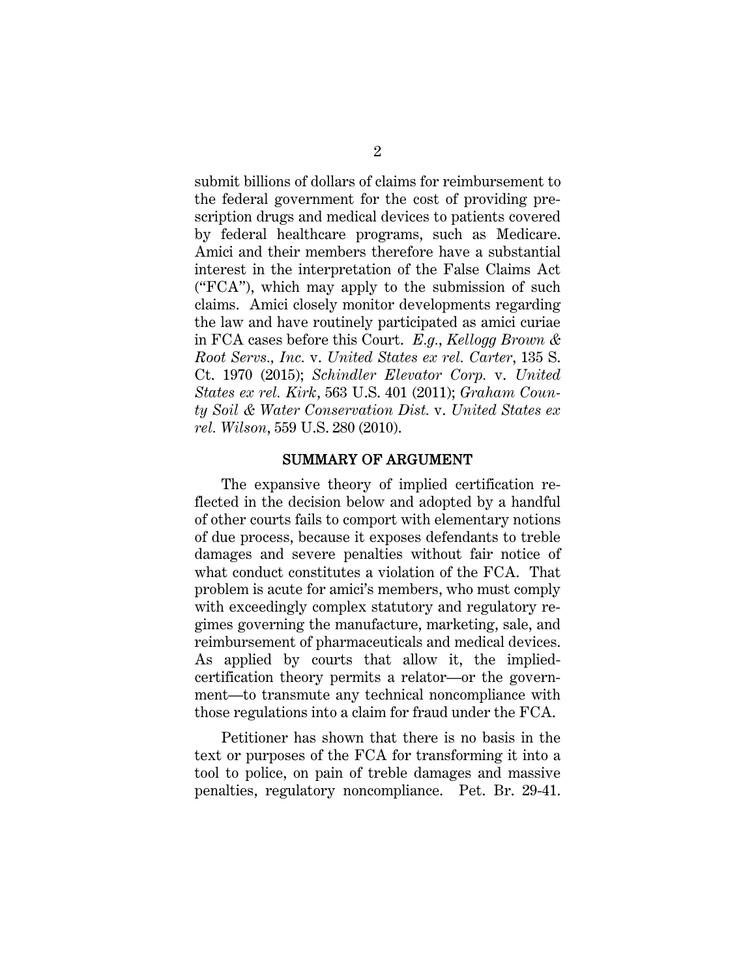submit billions of dollars of claims for reimbursement to the federal government for the cost of providing prescription drugs and medical devices to patients covered by federal healthcare programs, such as Medicare. Amici and their members therefore have a substantial interest in the interpretation of the False Claims Act ("FCA"), which may apply to the submission of such claims. Amici closely monitor developments regarding the law and have routinely participated as amici curiae in FCA cases before this Court. *E.g.*, *Kellogg Brown & Root Servs., Inc.* v. *United States ex rel. Carter*, 135 S. Ct. 1970 (2015); *Schindler Elevator Corp.* v. *United States ex rel. Kirk*, 563 U.S. 401 (2011); *Graham County Soil & Water Conservation Dist.* v. *United States ex rel. Wilson*, 559 U.S. 280 (2010).

#### SUMMARY OF ARGUMENT

The expansive theory of implied certification reflected in the decision below and adopted by a handful of other courts fails to comport with elementary notions of due process, because it exposes defendants to treble damages and severe penalties without fair notice of what conduct constitutes a violation of the FCA. That problem is acute for amici's members, who must comply with exceedingly complex statutory and regulatory regimes governing the manufacture, marketing, sale, and reimbursement of pharmaceuticals and medical devices. As applied by courts that allow it, the impliedcertification theory permits a relator—or the government—to transmute any technical noncompliance with those regulations into a claim for fraud under the FCA.

Petitioner has shown that there is no basis in the text or purposes of the FCA for transforming it into a tool to police, on pain of treble damages and massive penalties, regulatory noncompliance. Pet. Br. 29-41.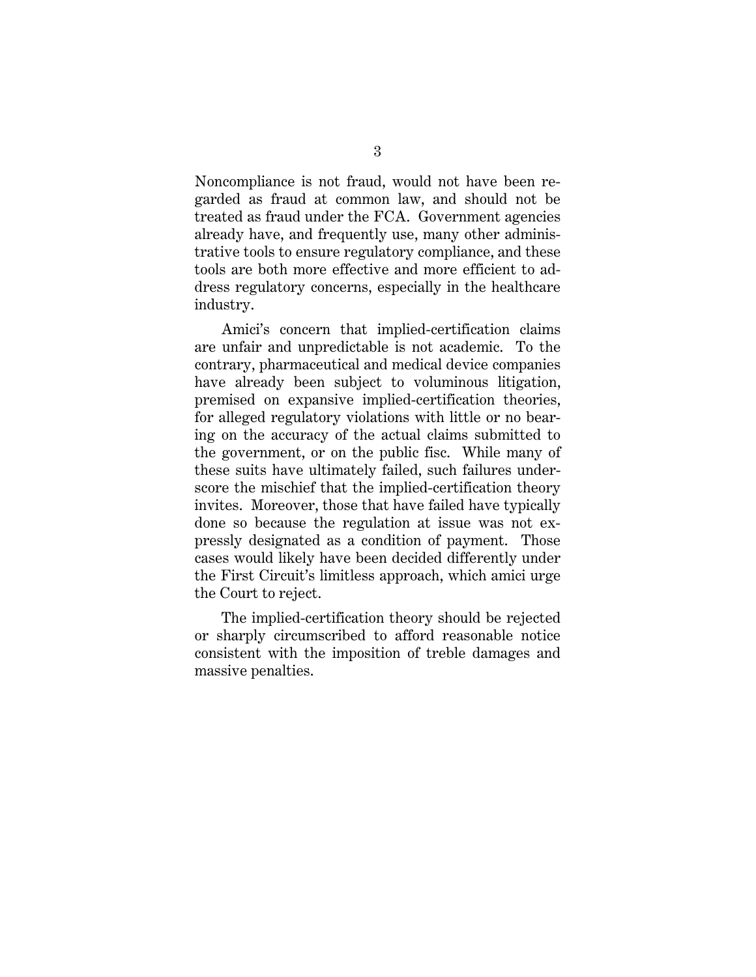Noncompliance is not fraud, would not have been regarded as fraud at common law, and should not be treated as fraud under the FCA. Government agencies already have, and frequently use, many other administrative tools to ensure regulatory compliance, and these tools are both more effective and more efficient to address regulatory concerns, especially in the healthcare industry.

Amici's concern that implied-certification claims are unfair and unpredictable is not academic. To the contrary, pharmaceutical and medical device companies have already been subject to voluminous litigation, premised on expansive implied-certification theories, for alleged regulatory violations with little or no bearing on the accuracy of the actual claims submitted to the government, or on the public fisc. While many of these suits have ultimately failed, such failures underscore the mischief that the implied-certification theory invites. Moreover, those that have failed have typically done so because the regulation at issue was not expressly designated as a condition of payment. Those cases would likely have been decided differently under the First Circuit's limitless approach, which amici urge the Court to reject.

The implied-certification theory should be rejected or sharply circumscribed to afford reasonable notice consistent with the imposition of treble damages and massive penalties.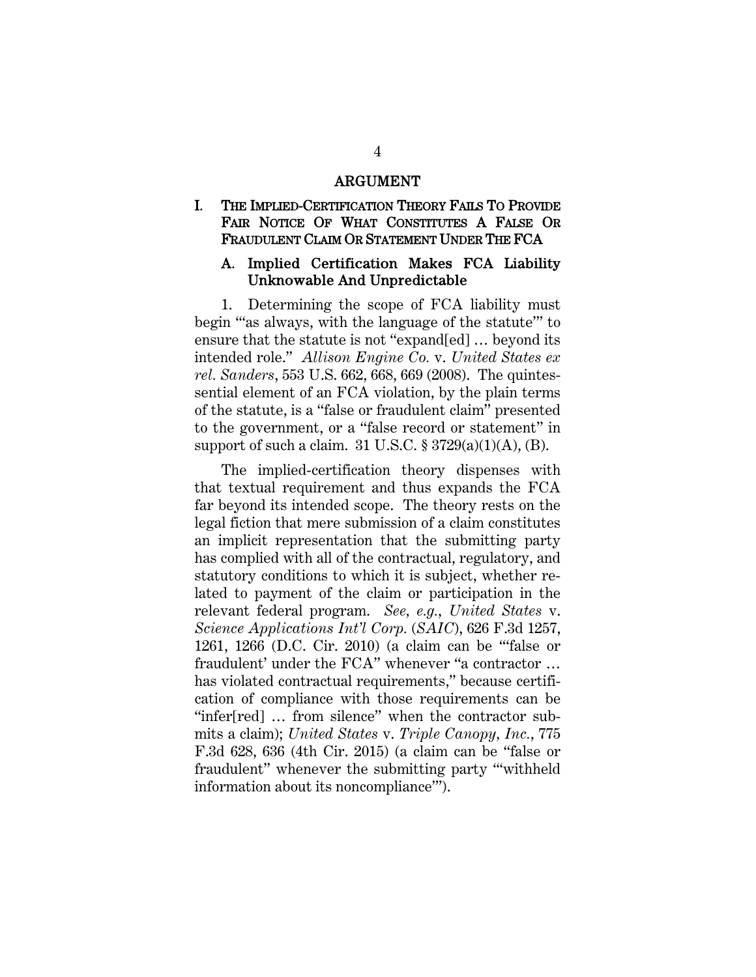#### ARGUMENT

#### I. THE IMPLIED-CERTIFICATION THEORY FAILS TO PROVIDE FAIR NOTICE OF WHAT CONSTITUTES A FALSE OR FRAUDULENT CLAIM OR STATEMENT UNDER THE FCA

#### A. Implied Certification Makes FCA Liability Unknowable And Unpredictable

1. Determining the scope of FCA liability must begin "'as always, with the language of the statute'" to ensure that the statute is not "expand[ed] … beyond its intended role." *Allison Engine Co.* v. *United States ex rel. Sanders*, 553 U.S. 662, 668, 669 (2008). The quintessential element of an FCA violation, by the plain terms of the statute, is a "false or fraudulent claim" presented to the government, or a "false record or statement" in support of such a claim. 31 U.S.C.  $\S 3729(a)(1)(A)$ , (B).

The implied-certification theory dispenses with that textual requirement and thus expands the FCA far beyond its intended scope. The theory rests on the legal fiction that mere submission of a claim constitutes an implicit representation that the submitting party has complied with all of the contractual, regulatory, and statutory conditions to which it is subject, whether related to payment of the claim or participation in the relevant federal program. *See, e.g.*, *United States* v. *Science Applications Int'l Corp.* (*SAIC*), 626 F.3d 1257, 1261, 1266 (D.C. Cir. 2010) (a claim can be "'false or fraudulent' under the FCA" whenever "a contractor … has violated contractual requirements," because certification of compliance with those requirements can be "infer[red] … from silence" when the contractor submits a claim); *United States* v. *Triple Canopy, Inc.*, 775 F.3d 628, 636 (4th Cir. 2015) (a claim can be "false or fraudulent" whenever the submitting party "'withheld information about its noncompliance'").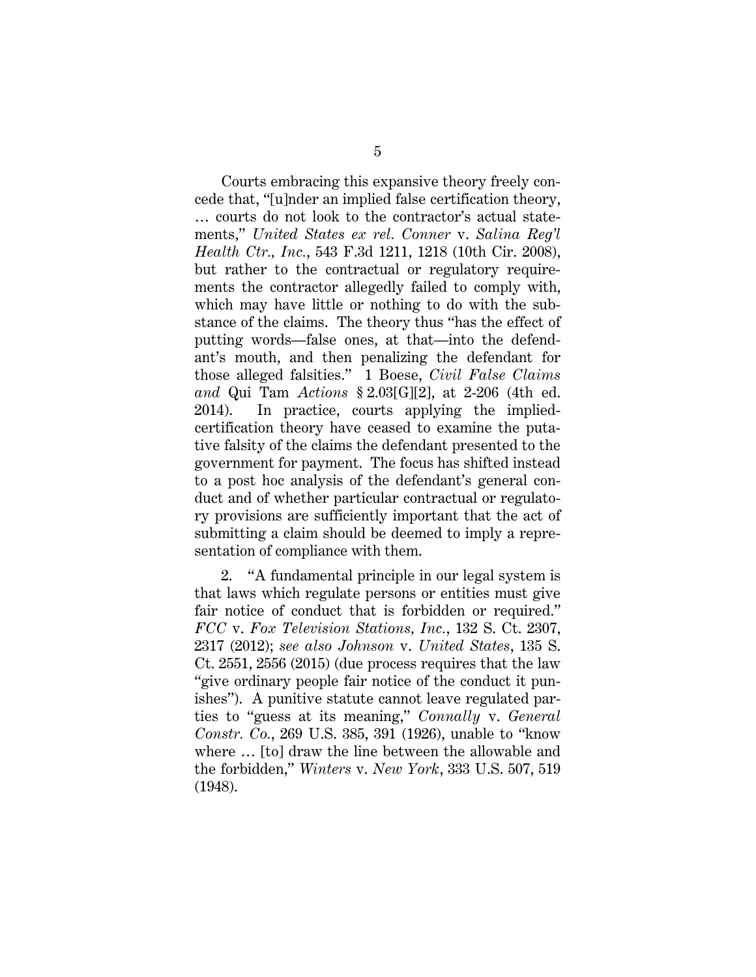Courts embracing this expansive theory freely concede that, "[u]nder an implied false certification theory, … courts do not look to the contractor's actual statements," *United States ex rel. Conner* v. *Salina Reg'l Health Ctr., Inc.*, 543 F.3d 1211, 1218 (10th Cir. 2008), but rather to the contractual or regulatory requirements the contractor allegedly failed to comply with, which may have little or nothing to do with the substance of the claims. The theory thus "has the effect of putting words—false ones, at that—into the defendant's mouth, and then penalizing the defendant for those alleged falsities." 1 Boese, *Civil False Claims and* Qui Tam *Actions* § 2.03[G][2], at 2-206 (4th ed. 2014). In practice, courts applying the impliedcertification theory have ceased to examine the putative falsity of the claims the defendant presented to the government for payment. The focus has shifted instead to a post hoc analysis of the defendant's general conduct and of whether particular contractual or regulatory provisions are sufficiently important that the act of submitting a claim should be deemed to imply a representation of compliance with them.

2. "A fundamental principle in our legal system is that laws which regulate persons or entities must give fair notice of conduct that is forbidden or required." *FCC* v. *Fox Television Stations, Inc.*, 132 S. Ct. 2307, 2317 (2012); *see also Johnson* v. *United States*, 135 S. Ct. 2551, 2556 (2015) (due process requires that the law "give ordinary people fair notice of the conduct it punishes"). A punitive statute cannot leave regulated parties to "guess at its meaning," *Connally* v. *General Constr. Co.*, 269 U.S. 385, 391 (1926), unable to "know where … [to] draw the line between the allowable and the forbidden," *Winters* v. *New York*, 333 U.S. 507, 519 (1948).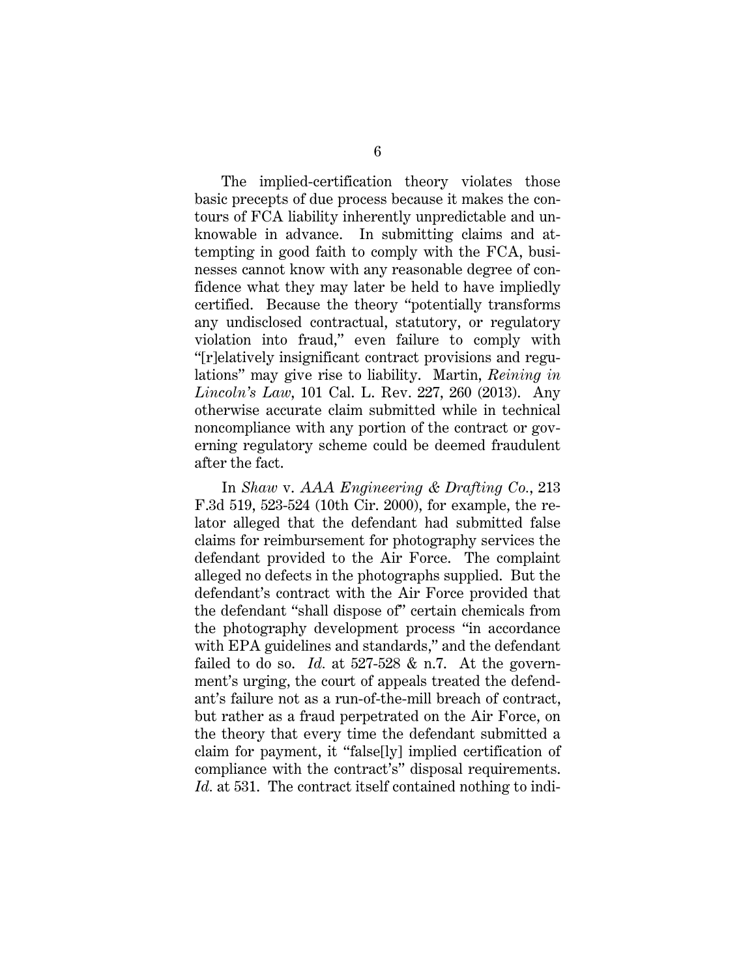The implied-certification theory violates those basic precepts of due process because it makes the contours of FCA liability inherently unpredictable and unknowable in advance. In submitting claims and attempting in good faith to comply with the FCA, businesses cannot know with any reasonable degree of confidence what they may later be held to have impliedly certified. Because the theory "potentially transforms any undisclosed contractual, statutory, or regulatory violation into fraud," even failure to comply with "[r]elatively insignificant contract provisions and regulations" may give rise to liability. Martin, *Reining in Lincoln's Law*, 101 Cal. L. Rev. 227, 260 (2013). Any otherwise accurate claim submitted while in technical noncompliance with any portion of the contract or governing regulatory scheme could be deemed fraudulent after the fact.

In *Shaw* v. *AAA Engineering & Drafting Co.*, 213 F.3d 519, 523-524 (10th Cir. 2000), for example, the relator alleged that the defendant had submitted false claims for reimbursement for photography services the defendant provided to the Air Force. The complaint alleged no defects in the photographs supplied. But the defendant's contract with the Air Force provided that the defendant "shall dispose of" certain chemicals from the photography development process "in accordance with EPA guidelines and standards," and the defendant failed to do so. *Id.* at 527-528 & n.7. At the government's urging, the court of appeals treated the defendant's failure not as a run-of-the-mill breach of contract, but rather as a fraud perpetrated on the Air Force, on the theory that every time the defendant submitted a claim for payment, it "false[ly] implied certification of compliance with the contract's" disposal requirements. Id. at 531. The contract itself contained nothing to indi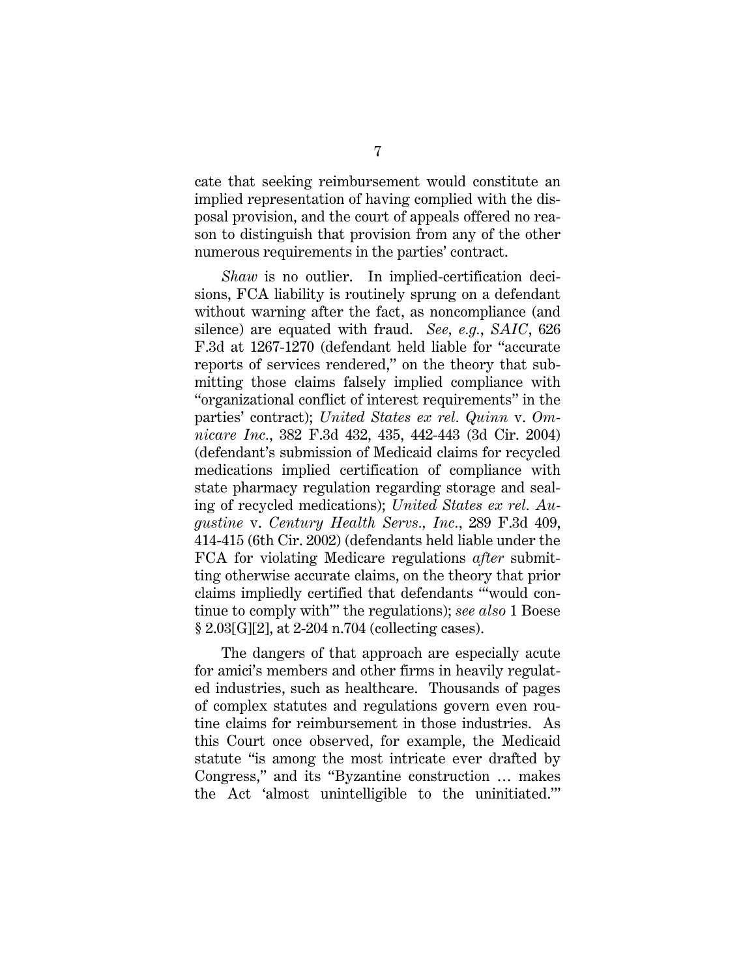cate that seeking reimbursement would constitute an implied representation of having complied with the disposal provision, and the court of appeals offered no reason to distinguish that provision from any of the other numerous requirements in the parties' contract.

*Shaw* is no outlier. In implied-certification decisions, FCA liability is routinely sprung on a defendant without warning after the fact, as noncompliance (and silence) are equated with fraud. *See, e.g.*, *SAIC*, 626 F.3d at 1267-1270 (defendant held liable for "accurate reports of services rendered," on the theory that submitting those claims falsely implied compliance with "organizational conflict of interest requirements" in the parties' contract); *United States ex rel. Quinn* v. *Omnicare Inc.*, 382 F.3d 432, 435, 442-443 (3d Cir. 2004) (defendant's submission of Medicaid claims for recycled medications implied certification of compliance with state pharmacy regulation regarding storage and sealing of recycled medications); *United States ex rel. Augustine* v. *Century Health Servs., Inc.*, 289 F.3d 409, 414-415 (6th Cir. 2002) (defendants held liable under the FCA for violating Medicare regulations *after* submitting otherwise accurate claims, on the theory that prior claims impliedly certified that defendants "'would continue to comply with'" the regulations); *see also* 1 Boese § 2.03[G][2], at 2-204 n.704 (collecting cases).

The dangers of that approach are especially acute for amici's members and other firms in heavily regulated industries, such as healthcare. Thousands of pages of complex statutes and regulations govern even routine claims for reimbursement in those industries. As this Court once observed, for example, the Medicaid statute "is among the most intricate ever drafted by Congress," and its "Byzantine construction … makes the Act 'almost unintelligible to the uninitiated.'"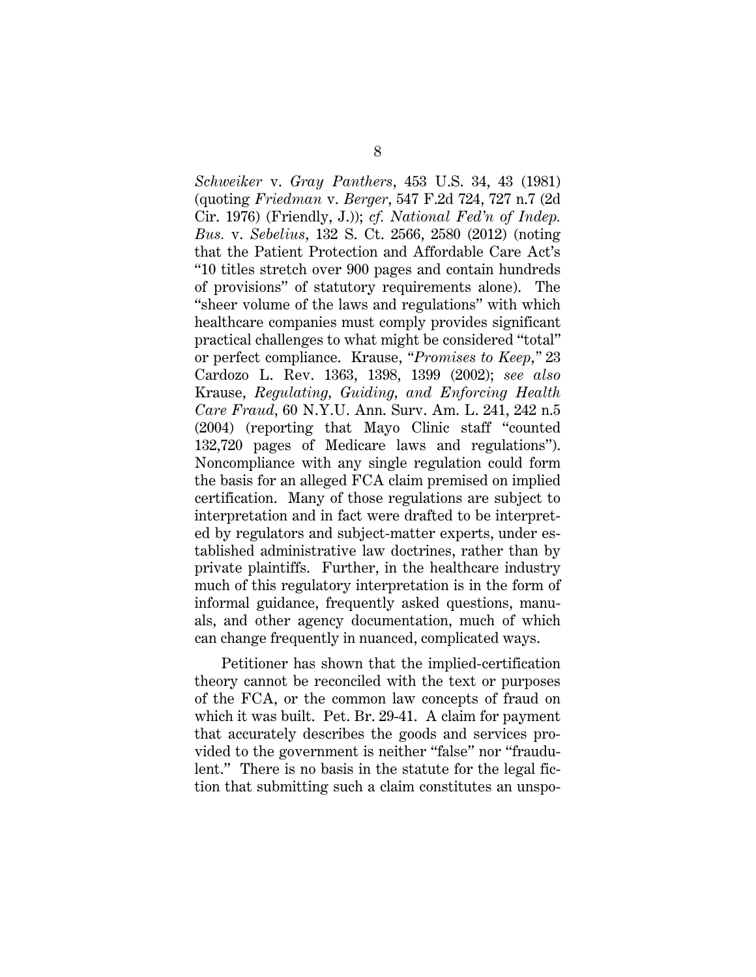*Schweiker* v. *Gray Panthers*, 453 U.S. 34, 43 (1981) (quoting *Friedman* v. *Berger*, 547 F.2d 724, 727 n.7 (2d Cir. 1976) (Friendly, J.)); *cf. National Fed'n of Indep. Bus.* v. *Sebelius*, 132 S. Ct. 2566, 2580 (2012) (noting that the Patient Protection and Affordable Care Act's "10 titles stretch over 900 pages and contain hundreds of provisions" of statutory requirements alone). The "sheer volume of the laws and regulations" with which healthcare companies must comply provides significant practical challenges to what might be considered "total" or perfect compliance. Krause, *"Promises to Keep*,*"* 23 Cardozo L. Rev. 1363, 1398, 1399 (2002); *see also*  Krause, *Regulating, Guiding, and Enforcing Health Care Fraud*, 60 N.Y.U. Ann. Surv. Am. L. 241, 242 n.5 (2004) (reporting that Mayo Clinic staff "counted 132,720 pages of Medicare laws and regulations"). Noncompliance with any single regulation could form the basis for an alleged FCA claim premised on implied certification. Many of those regulations are subject to interpretation and in fact were drafted to be interpreted by regulators and subject-matter experts, under established administrative law doctrines, rather than by private plaintiffs. Further, in the healthcare industry much of this regulatory interpretation is in the form of informal guidance, frequently asked questions, manuals, and other agency documentation, much of which can change frequently in nuanced, complicated ways.

Petitioner has shown that the implied-certification theory cannot be reconciled with the text or purposes of the FCA, or the common law concepts of fraud on which it was built. Pet. Br. 29-41. A claim for payment that accurately describes the goods and services provided to the government is neither "false" nor "fraudulent." There is no basis in the statute for the legal fiction that submitting such a claim constitutes an unspo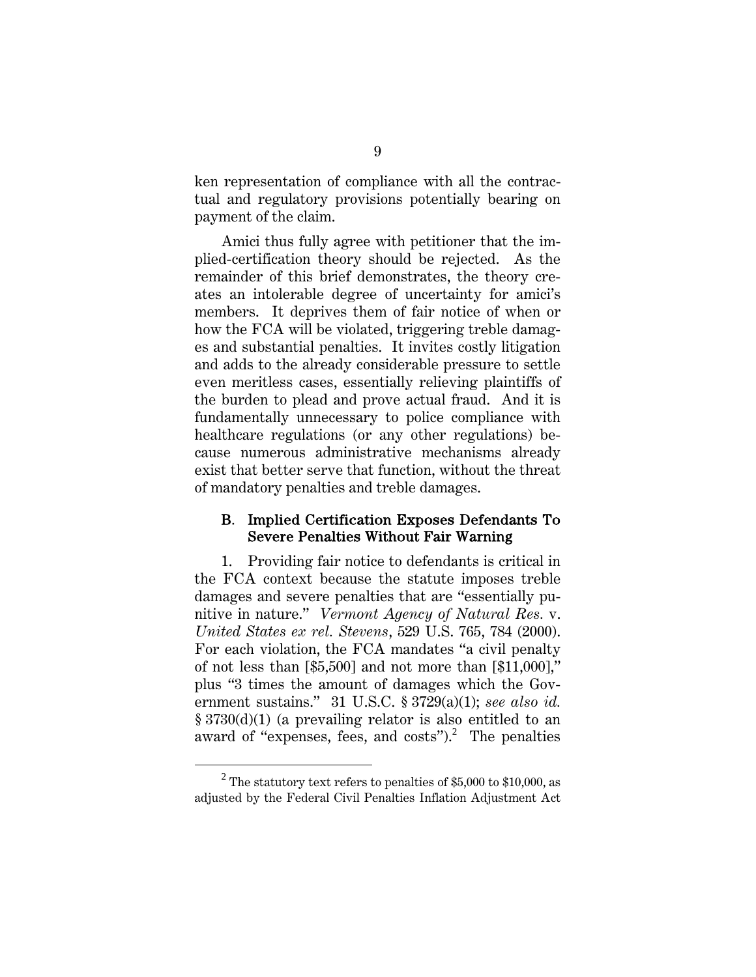ken representation of compliance with all the contractual and regulatory provisions potentially bearing on payment of the claim.

Amici thus fully agree with petitioner that the implied-certification theory should be rejected. As the remainder of this brief demonstrates, the theory creates an intolerable degree of uncertainty for amici's members. It deprives them of fair notice of when or how the FCA will be violated, triggering treble damages and substantial penalties. It invites costly litigation and adds to the already considerable pressure to settle even meritless cases, essentially relieving plaintiffs of the burden to plead and prove actual fraud. And it is fundamentally unnecessary to police compliance with healthcare regulations (or any other regulations) because numerous administrative mechanisms already exist that better serve that function, without the threat of mandatory penalties and treble damages.

#### B. Implied Certification Exposes Defendants To Severe Penalties Without Fair Warning

1. Providing fair notice to defendants is critical in the FCA context because the statute imposes treble damages and severe penalties that are "essentially punitive in nature." *Vermont Agency of Natural Res.* v. *United States ex rel. Stevens*, 529 U.S. 765, 784 (2000). For each violation, the FCA mandates "a civil penalty of not less than [\$5,500] and not more than [\$11,000]," plus "3 times the amount of damages which the Government sustains." 31 U.S.C. § 3729(a)(1); *see also id.*  § 3730(d)(1) (a prevailing relator is also entitled to an award of "expenses, fees, and  $costs$ ".<sup>2</sup> The penalties

<sup>2</sup> <sup>2</sup> The statutory text refers to penalties of \$5,000 to \$10,000, as adjusted by the Federal Civil Penalties Inflation Adjustment Act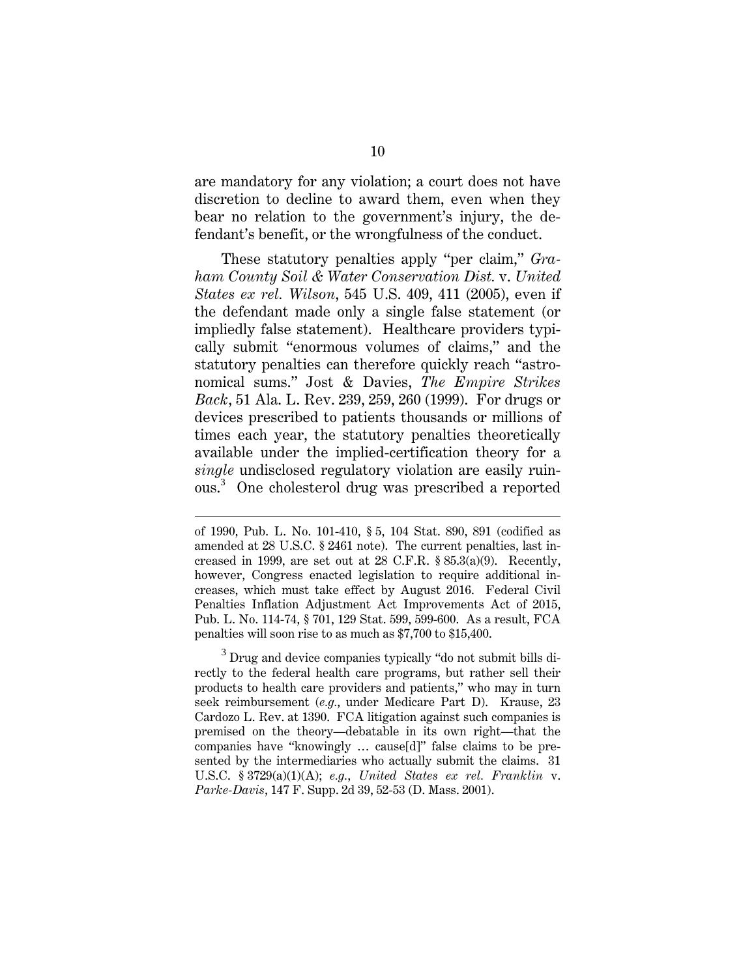are mandatory for any violation; a court does not have discretion to decline to award them, even when they bear no relation to the government's injury, the defendant's benefit, or the wrongfulness of the conduct.

These statutory penalties apply "per claim," *Graham County Soil & Water Conservation Dist.* v. *United States ex rel. Wilson*, 545 U.S. 409, 411 (2005), even if the defendant made only a single false statement (or impliedly false statement). Healthcare providers typically submit "enormous volumes of claims," and the statutory penalties can therefore quickly reach "astronomical sums." Jost & Davies, *The Empire Strikes Back*, 51 Ala. L. Rev. 239, 259, 260 (1999). For drugs or devices prescribed to patients thousands or millions of times each year, the statutory penalties theoretically available under the implied-certification theory for a *single* undisclosed regulatory violation are easily ruinous.<sup>3</sup> One cholesterol drug was prescribed a reported

 $\overline{a}$ 

 $3$  Drug and device companies typically "do not submit bills directly to the federal health care programs, but rather sell their products to health care providers and patients," who may in turn seek reimbursement (*e.g.*, under Medicare Part D). Krause, 23 Cardozo L. Rev. at 1390. FCA litigation against such companies is premised on the theory—debatable in its own right—that the companies have "knowingly … cause[d]" false claims to be presented by the intermediaries who actually submit the claims. 31 U.S.C. § 3729(a)(1)(A); *e.g.*, *United States ex rel. Franklin* v. *Parke-Davis*, 147 F. Supp. 2d 39, 52-53 (D. Mass. 2001).

of 1990, Pub. L. No. 101-410, § 5, 104 Stat. 890, 891 (codified as amended at 28 U.S.C. § 2461 note). The current penalties, last increased in 1999, are set out at 28 C.F.R. § 85.3(a)(9). Recently, however, Congress enacted legislation to require additional increases, which must take effect by August 2016. Federal Civil Penalties Inflation Adjustment Act Improvements Act of 2015, Pub. L. No. 114-74, § 701, 129 Stat. 599, 599-600. As a result, FCA penalties will soon rise to as much as \$7,700 to \$15,400.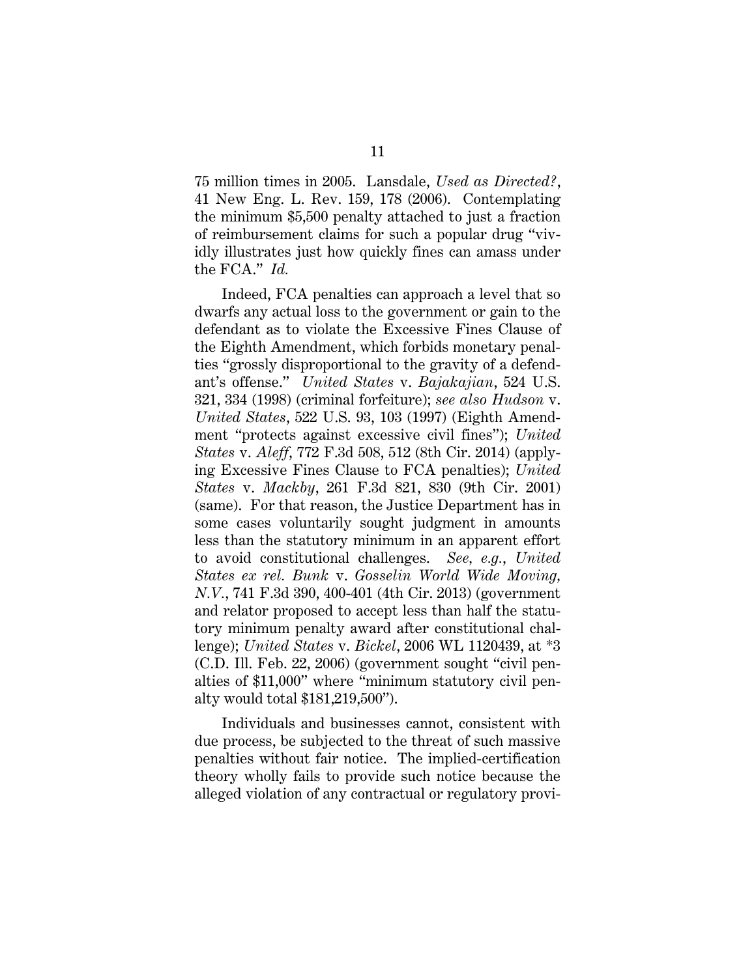75 million times in 2005. Lansdale, *Used as Directed?*, 41 New Eng. L. Rev. 159, 178 (2006). Contemplating the minimum \$5,500 penalty attached to just a fraction of reimbursement claims for such a popular drug "vividly illustrates just how quickly fines can amass under the FCA." *Id.*

Indeed, FCA penalties can approach a level that so dwarfs any actual loss to the government or gain to the defendant as to violate the Excessive Fines Clause of the Eighth Amendment, which forbids monetary penalties "grossly disproportional to the gravity of a defendant's offense." *United States* v. *Bajakajian*, 524 U.S. 321, 334 (1998) (criminal forfeiture); *see also Hudson* v. *United States*, 522 U.S. 93, 103 (1997) (Eighth Amendment "protects against excessive civil fines"); *United States* v. *Aleff*, 772 F.3d 508, 512 (8th Cir. 2014) (applying Excessive Fines Clause to FCA penalties); *United States* v. *Mackby*, 261 F.3d 821, 830 (9th Cir. 2001) (same). For that reason, the Justice Department has in some cases voluntarily sought judgment in amounts less than the statutory minimum in an apparent effort to avoid constitutional challenges. *See, e.g.*, *United States ex rel. Bunk* v. *Gosselin World Wide Moving, N.V.*, 741 F.3d 390, 400-401 (4th Cir. 2013) (government and relator proposed to accept less than half the statutory minimum penalty award after constitutional challenge); *United States* v. *Bickel*, 2006 WL 1120439, at \*3 (C.D. Ill. Feb. 22, 2006) (government sought "civil penalties of \$11,000" where "minimum statutory civil penalty would total \$181,219,500").

Individuals and businesses cannot, consistent with due process, be subjected to the threat of such massive penalties without fair notice. The implied-certification theory wholly fails to provide such notice because the alleged violation of any contractual or regulatory provi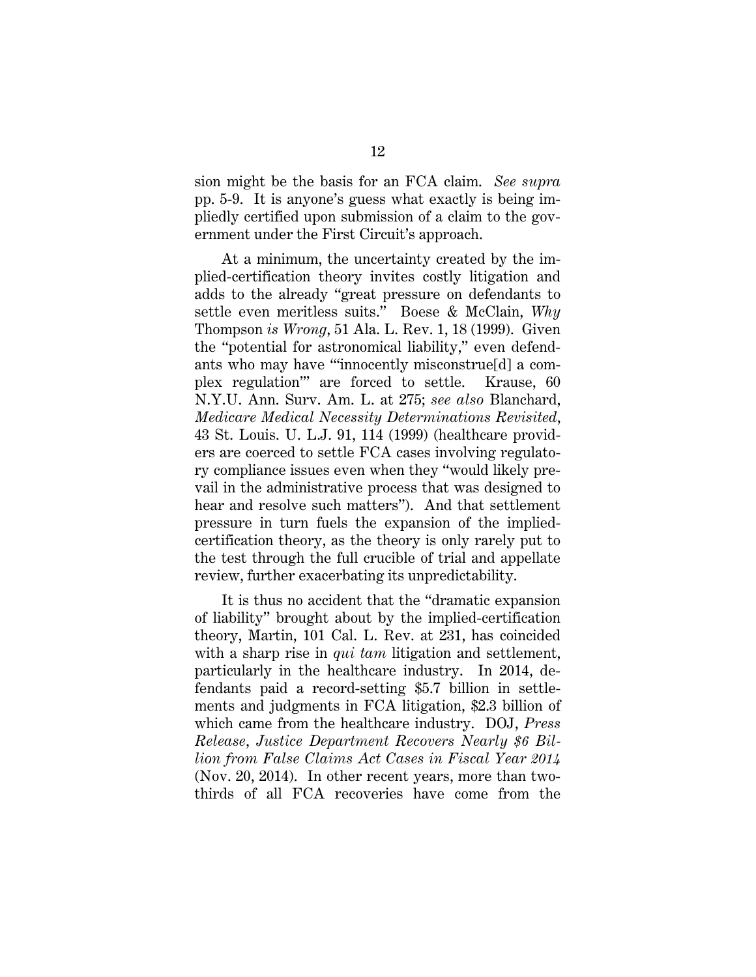sion might be the basis for an FCA claim. *See supra*  pp. 5-9. It is anyone's guess what exactly is being impliedly certified upon submission of a claim to the government under the First Circuit's approach.

At a minimum, the uncertainty created by the implied-certification theory invites costly litigation and adds to the already "great pressure on defendants to settle even meritless suits." Boese & McClain, *Why*  Thompson *is Wrong*, 51 Ala. L. Rev. 1, 18 (1999). Given the "potential for astronomical liability," even defendants who may have "'innocently misconstrue[d] a complex regulation'" are forced to settle. Krause, 60 N.Y.U. Ann. Surv. Am. L. at 275; *see also* Blanchard, *Medicare Medical Necessity Determinations Revisited*, 43 St. Louis. U. L.J. 91, 114 (1999) (healthcare providers are coerced to settle FCA cases involving regulatory compliance issues even when they "would likely prevail in the administrative process that was designed to hear and resolve such matters"). And that settlement pressure in turn fuels the expansion of the impliedcertification theory, as the theory is only rarely put to the test through the full crucible of trial and appellate review, further exacerbating its unpredictability.

It is thus no accident that the "dramatic expansion of liability" brought about by the implied-certification theory, Martin, 101 Cal. L. Rev. at 231, has coincided with a sharp rise in *qui tam* litigation and settlement, particularly in the healthcare industry. In 2014, defendants paid a record-setting \$5.7 billion in settlements and judgments in FCA litigation, \$2.3 billion of which came from the healthcare industry. DOJ, *Press Release*, *Justice Department Recovers Nearly \$6 Billion from False Claims Act Cases in Fiscal Year 2014* (Nov. 20, 2014). In other recent years, more than twothirds of all FCA recoveries have come from the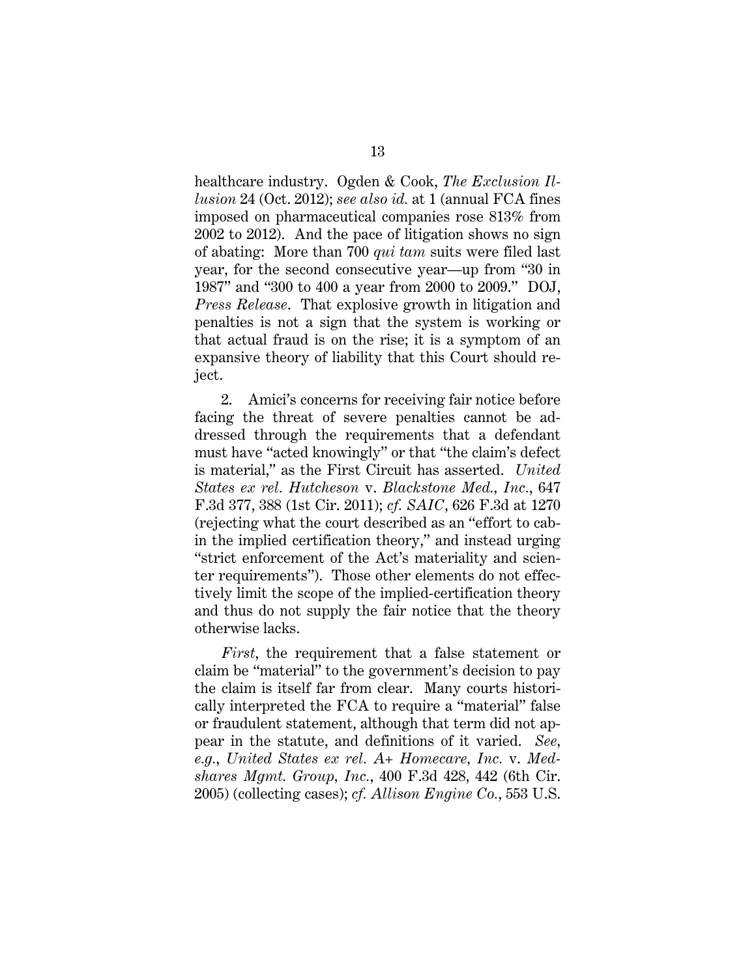healthcare industry. Ogden & Cook, *The Exclusion Illusion* 24 (Oct. 2012); *see also id.* at 1 (annual FCA fines imposed on pharmaceutical companies rose 813% from 2002 to 2012). And the pace of litigation shows no sign of abating: More than 700 *qui tam* suits were filed last year, for the second consecutive year—up from "30 in 1987" and "300 to 400 a year from 2000 to 2009." DOJ, *Press Release*. That explosive growth in litigation and penalties is not a sign that the system is working or that actual fraud is on the rise; it is a symptom of an expansive theory of liability that this Court should reject.

2. Amici's concerns for receiving fair notice before facing the threat of severe penalties cannot be addressed through the requirements that a defendant must have "acted knowingly" or that "the claim's defect is material," as the First Circuit has asserted. *United States ex rel. Hutcheson* v. *Blackstone Med., Inc.*, 647 F.3d 377, 388 (1st Cir. 2011); *cf. SAIC*, 626 F.3d at 1270 (rejecting what the court described as an "effort to cabin the implied certification theory," and instead urging "strict enforcement of the Act's materiality and scienter requirements"). Those other elements do not effectively limit the scope of the implied-certification theory and thus do not supply the fair notice that the theory otherwise lacks.

*First*, the requirement that a false statement or claim be "material" to the government's decision to pay the claim is itself far from clear. Many courts historically interpreted the FCA to require a "material" false or fraudulent statement, although that term did not appear in the statute, and definitions of it varied. *See, e.g.*, *United States ex rel. A+ Homecare, Inc.* v. *Medshares Mgmt. Group, Inc.*, 400 F.3d 428, 442 (6th Cir. 2005) (collecting cases); *cf. Allison Engine Co.*, 553 U.S.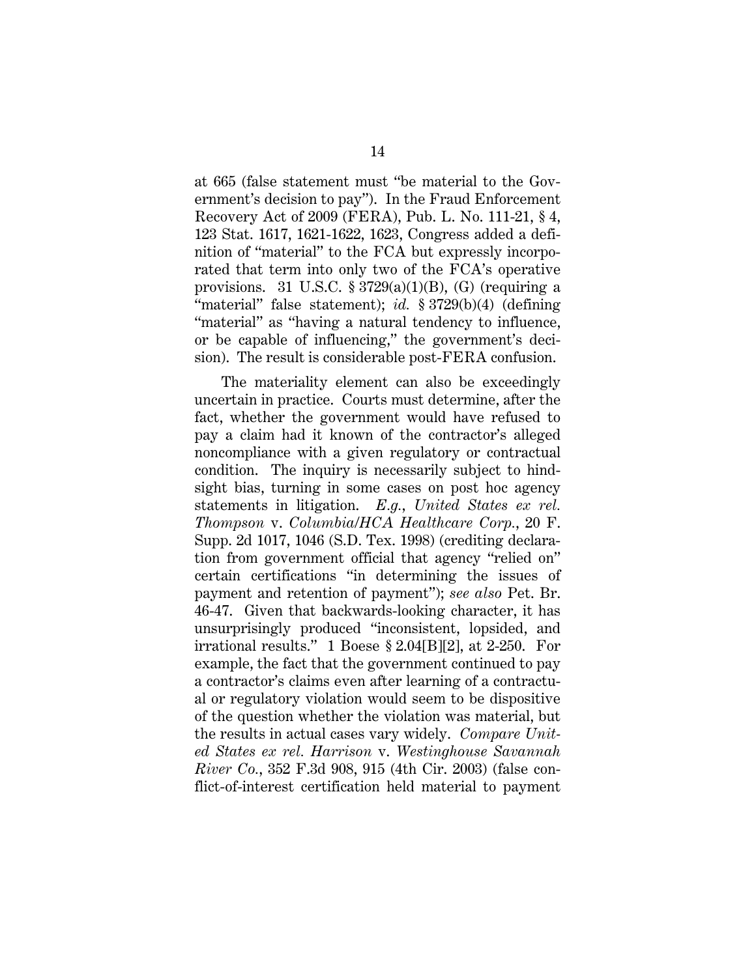at 665 (false statement must "be material to the Government's decision to pay"). In the Fraud Enforcement Recovery Act of 2009 (FERA), Pub. L. No. 111-21, § 4, 123 Stat. 1617, 1621-1622, 1623, Congress added a definition of "material" to the FCA but expressly incorporated that term into only two of the FCA's operative provisions. 31 U.S.C.  $\S 3729(a)(1)(B)$ , (G) (requiring a "material" false statement); *id.* § 3729(b)(4) (defining "material" as "having a natural tendency to influence, or be capable of influencing," the government's decision). The result is considerable post-FERA confusion.

The materiality element can also be exceedingly uncertain in practice. Courts must determine, after the fact, whether the government would have refused to pay a claim had it known of the contractor's alleged noncompliance with a given regulatory or contractual condition. The inquiry is necessarily subject to hindsight bias, turning in some cases on post hoc agency statements in litigation. *E.g.*, *United States ex rel. Thompson* v. *Columbia/HCA Healthcare Corp.*, 20 F. Supp. 2d 1017, 1046 (S.D. Tex. 1998) (crediting declaration from government official that agency "relied on" certain certifications "in determining the issues of payment and retention of payment"); *see also* Pet. Br. 46-47. Given that backwards-looking character, it has unsurprisingly produced "inconsistent, lopsided, and irrational results." 1 Boese § 2.04[B][2], at 2-250. For example, the fact that the government continued to pay a contractor's claims even after learning of a contractual or regulatory violation would seem to be dispositive of the question whether the violation was material, but the results in actual cases vary widely. *Compare United States ex rel. Harrison* v. *Westinghouse Savannah River Co.*, 352 F.3d 908, 915 (4th Cir. 2003) (false conflict-of-interest certification held material to payment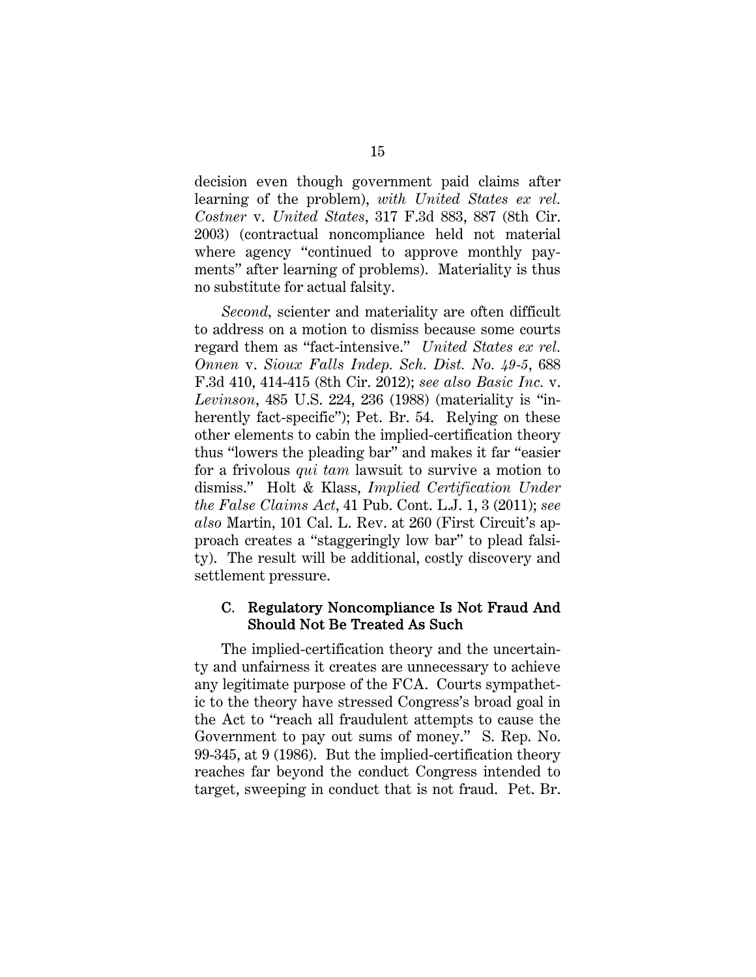decision even though government paid claims after learning of the problem), *with United States ex rel. Costner* v. *United States*, 317 F.3d 883, 887 (8th Cir. 2003) (contractual noncompliance held not material where agency "continued to approve monthly payments" after learning of problems). Materiality is thus no substitute for actual falsity.

*Second,* scienter and materiality are often difficult to address on a motion to dismiss because some courts regard them as "fact-intensive." *United States ex rel. Onnen* v. *Sioux Falls Indep. Sch. Dist. No. 49-5*, 688 F.3d 410, 414-415 (8th Cir. 2012); *see also Basic Inc.* v. *Levinson*, 485 U.S. 224, 236 (1988) (materiality is "inherently fact-specific"); Pet. Br. 54. Relying on these other elements to cabin the implied-certification theory thus "lowers the pleading bar" and makes it far "easier for a frivolous *qui tam* lawsuit to survive a motion to dismiss." Holt & Klass, *Implied Certification Under the False Claims Act*, 41 Pub. Cont. L.J. 1, 3 (2011); *see also* Martin, 101 Cal. L. Rev. at 260 (First Circuit's approach creates a "staggeringly low bar" to plead falsity). The result will be additional, costly discovery and settlement pressure.

#### C. Regulatory Noncompliance Is Not Fraud And Should Not Be Treated As Such

The implied-certification theory and the uncertainty and unfairness it creates are unnecessary to achieve any legitimate purpose of the FCA. Courts sympathetic to the theory have stressed Congress's broad goal in the Act to "reach all fraudulent attempts to cause the Government to pay out sums of money." S. Rep. No. 99-345, at 9 (1986). But the implied-certification theory reaches far beyond the conduct Congress intended to target, sweeping in conduct that is not fraud. Pet. Br.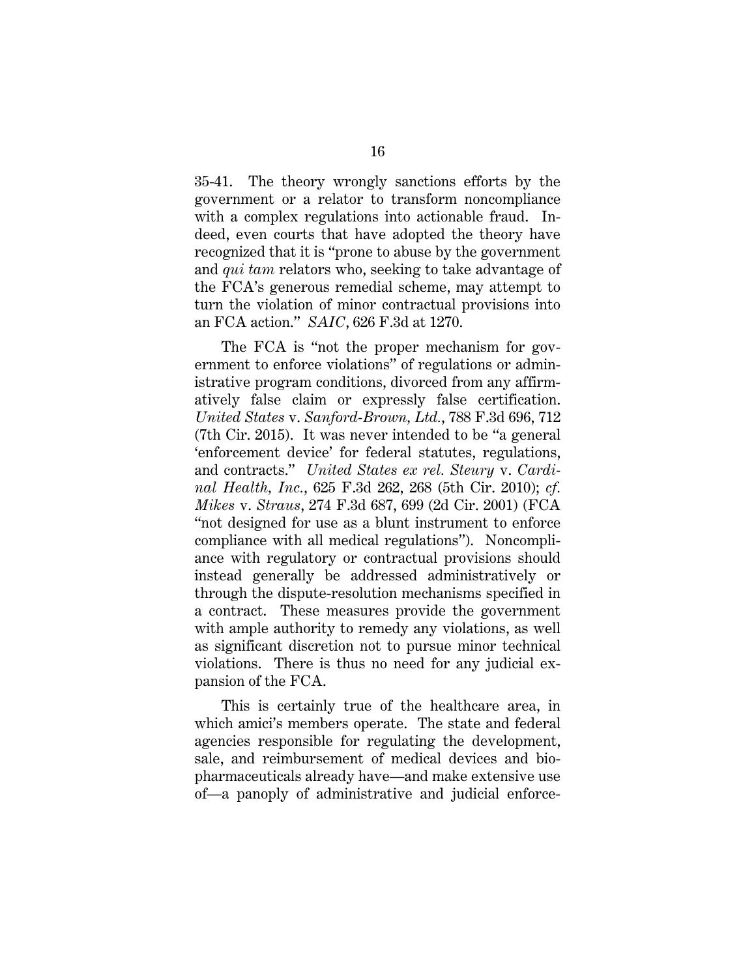35-41. The theory wrongly sanctions efforts by the government or a relator to transform noncompliance with a complex regulations into actionable fraud. Indeed, even courts that have adopted the theory have recognized that it is "prone to abuse by the government and *qui tam* relators who, seeking to take advantage of the FCA's generous remedial scheme, may attempt to turn the violation of minor contractual provisions into an FCA action." *SAIC*, 626 F.3d at 1270.

The FCA is "not the proper mechanism for government to enforce violations" of regulations or administrative program conditions, divorced from any affirmatively false claim or expressly false certification. *United States* v. *Sanford-Brown, Ltd.*, 788 F.3d 696, 712 (7th Cir. 2015). It was never intended to be "a general 'enforcement device' for federal statutes, regulations, and contracts." *United States ex rel. Steury* v. *Cardinal Health, Inc.*, 625 F.3d 262, 268 (5th Cir. 2010); *cf. Mikes* v. *Straus*, 274 F.3d 687, 699 (2d Cir. 2001) (FCA "not designed for use as a blunt instrument to enforce compliance with all medical regulations"). Noncompliance with regulatory or contractual provisions should instead generally be addressed administratively or through the dispute-resolution mechanisms specified in a contract. These measures provide the government with ample authority to remedy any violations, as well as significant discretion not to pursue minor technical violations. There is thus no need for any judicial expansion of the FCA.

This is certainly true of the healthcare area, in which amici's members operate. The state and federal agencies responsible for regulating the development, sale, and reimbursement of medical devices and biopharmaceuticals already have—and make extensive use of—a panoply of administrative and judicial enforce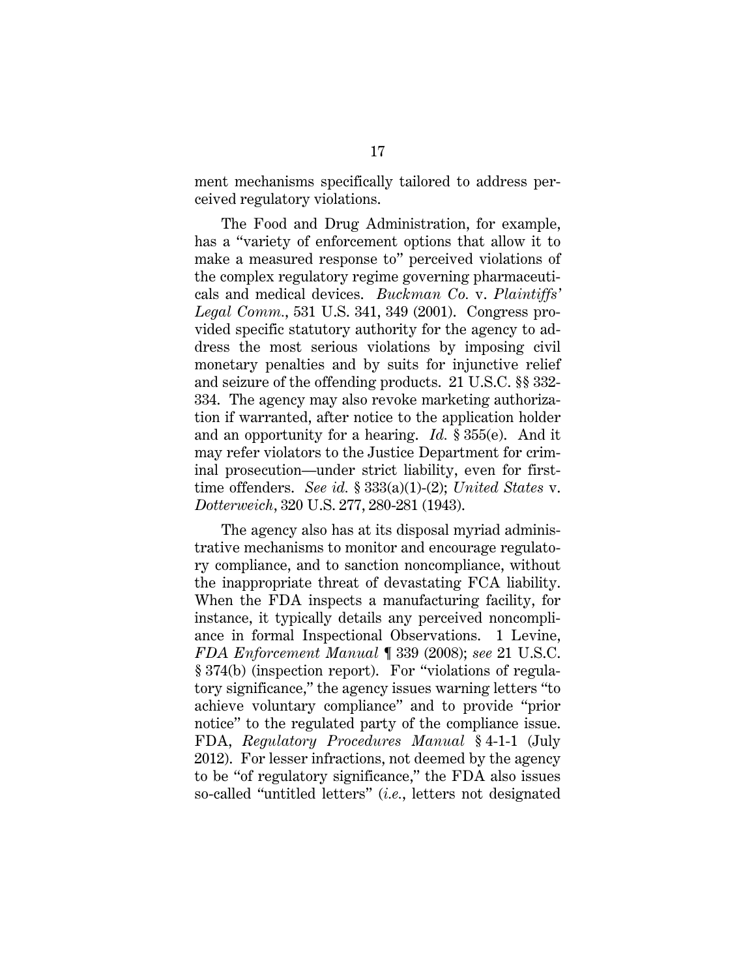ment mechanisms specifically tailored to address perceived regulatory violations.

The Food and Drug Administration, for example, has a "variety of enforcement options that allow it to make a measured response to" perceived violations of the complex regulatory regime governing pharmaceuticals and medical devices. *Buckman Co.* v. *Plaintiffs' Legal Comm.*, 531 U.S. 341, 349 (2001). Congress provided specific statutory authority for the agency to address the most serious violations by imposing civil monetary penalties and by suits for injunctive relief and seizure of the offending products. 21 U.S.C. §§ 332- 334. The agency may also revoke marketing authorization if warranted, after notice to the application holder and an opportunity for a hearing. *Id.* § 355(e). And it may refer violators to the Justice Department for criminal prosecution—under strict liability, even for firsttime offenders. *See id.* § 333(a)(1)-(2); *United States* v. *Dotterweich*, 320 U.S. 277, 280-281 (1943).

The agency also has at its disposal myriad administrative mechanisms to monitor and encourage regulatory compliance, and to sanction noncompliance, without the inappropriate threat of devastating FCA liability. When the FDA inspects a manufacturing facility, for instance, it typically details any perceived noncompliance in formal Inspectional Observations. 1 Levine, *FDA Enforcement Manual* ¶ 339 (2008); *see* 21 U.S.C. § 374(b) (inspection report). For "violations of regulatory significance," the agency issues warning letters "to achieve voluntary compliance" and to provide "prior notice" to the regulated party of the compliance issue. FDA, *Regulatory Procedures Manual* § 4-1-1 (July 2012). For lesser infractions, not deemed by the agency to be "of regulatory significance," the FDA also issues so-called "untitled letters" (*i.e.*, letters not designated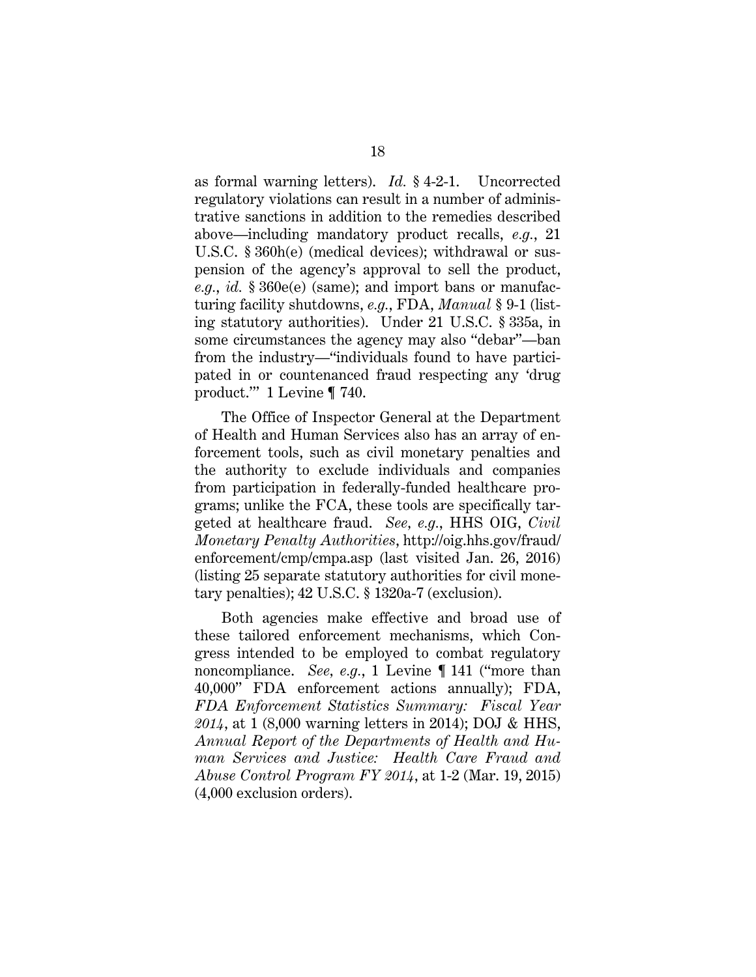as formal warning letters). *Id.* § 4-2-1. Uncorrected regulatory violations can result in a number of administrative sanctions in addition to the remedies described above—including mandatory product recalls, *e.g.*, 21 U.S.C. § 360h(e) (medical devices); withdrawal or suspension of the agency's approval to sell the product, *e.g.*, *id.* § 360e(e) (same); and import bans or manufacturing facility shutdowns, *e.g.*, FDA, *Manual* § 9-1 (listing statutory authorities). Under 21 U.S.C. § 335a, in some circumstances the agency may also "debar"—ban from the industry—"individuals found to have participated in or countenanced fraud respecting any 'drug product.'" 1 Levine ¶ 740.

The Office of Inspector General at the Department of Health and Human Services also has an array of enforcement tools, such as civil monetary penalties and the authority to exclude individuals and companies from participation in federally-funded healthcare programs; unlike the FCA, these tools are specifically targeted at healthcare fraud. *See, e.g.*, HHS OIG, *Civil Monetary Penalty Authorities*, http://oig.hhs.gov/fraud/ enforcement/cmp/cmpa.asp (last visited Jan. 26, 2016) (listing 25 separate statutory authorities for civil monetary penalties); 42 U.S.C. § 1320a-7 (exclusion).

Both agencies make effective and broad use of these tailored enforcement mechanisms, which Congress intended to be employed to combat regulatory noncompliance. *See, e.g.*, 1 Levine ¶ 141 ("more than 40,000" FDA enforcement actions annually); FDA, *FDA Enforcement Statistics Summary: Fiscal Year 2014*, at 1 (8,000 warning letters in 2014); DOJ & HHS, *Annual Report of the Departments of Health and Human Services and Justice: Health Care Fraud and Abuse Control Program FY 2014*, at 1-2 (Mar. 19, 2015) (4,000 exclusion orders).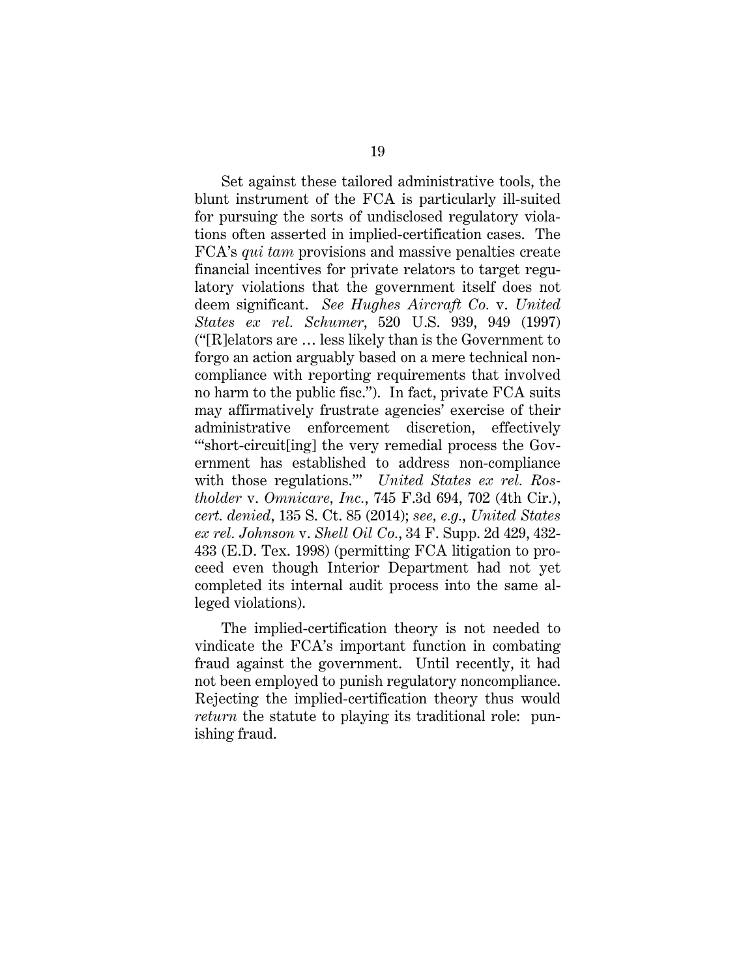Set against these tailored administrative tools, the blunt instrument of the FCA is particularly ill-suited for pursuing the sorts of undisclosed regulatory violations often asserted in implied-certification cases. The FCA's *qui tam* provisions and massive penalties create financial incentives for private relators to target regulatory violations that the government itself does not deem significant. *See Hughes Aircraft Co.* v. *United States ex rel. Schumer*, 520 U.S. 939, 949 (1997) ("[R]elators are … less likely than is the Government to forgo an action arguably based on a mere technical noncompliance with reporting requirements that involved no harm to the public fisc."). In fact, private FCA suits may affirmatively frustrate agencies' exercise of their administrative enforcement discretion, effectively "'short-circuit[ing] the very remedial process the Government has established to address non-compliance with those regulations.'" *United States ex rel. Rostholder* v. *Omnicare, Inc.*, 745 F.3d 694, 702 (4th Cir.), *cert. denied*, 135 S. Ct. 85 (2014); *see, e.g.*, *United States ex rel. Johnson* v. *Shell Oil Co.*, 34 F. Supp. 2d 429, 432- 433 (E.D. Tex. 1998) (permitting FCA litigation to proceed even though Interior Department had not yet completed its internal audit process into the same alleged violations).

The implied-certification theory is not needed to vindicate the FCA's important function in combating fraud against the government. Until recently, it had not been employed to punish regulatory noncompliance. Rejecting the implied-certification theory thus would *return* the statute to playing its traditional role: punishing fraud.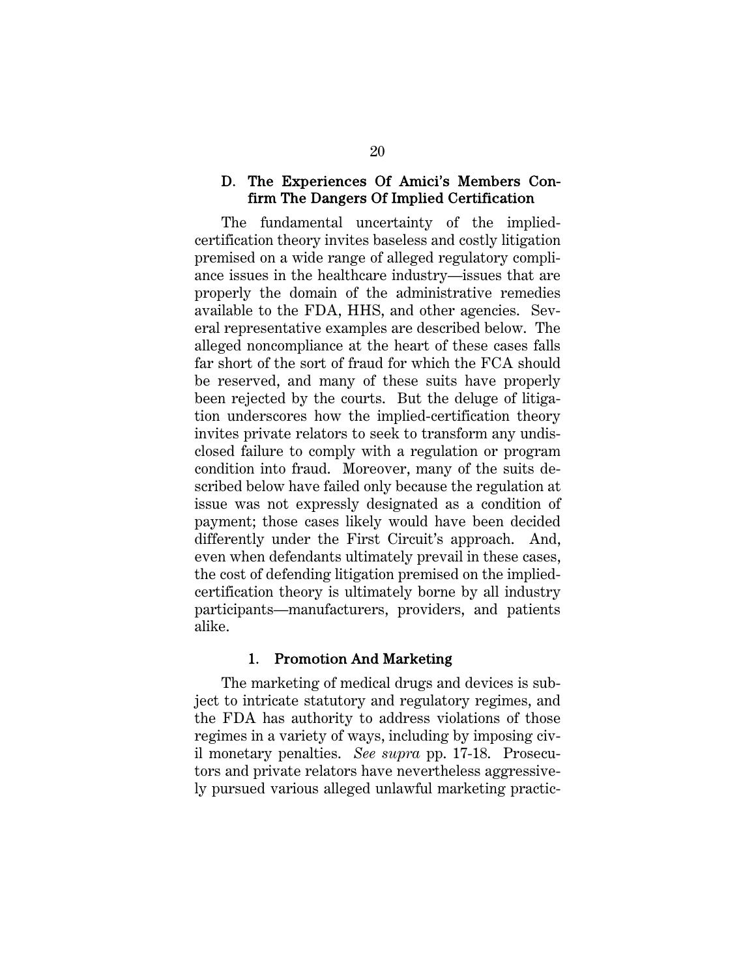#### D. The Experiences Of Amici's Members Confirm The Dangers Of Implied Certification

The fundamental uncertainty of the impliedcertification theory invites baseless and costly litigation premised on a wide range of alleged regulatory compliance issues in the healthcare industry—issues that are properly the domain of the administrative remedies available to the FDA, HHS, and other agencies. Several representative examples are described below. The alleged noncompliance at the heart of these cases falls far short of the sort of fraud for which the FCA should be reserved, and many of these suits have properly been rejected by the courts. But the deluge of litigation underscores how the implied-certification theory invites private relators to seek to transform any undisclosed failure to comply with a regulation or program condition into fraud. Moreover, many of the suits described below have failed only because the regulation at issue was not expressly designated as a condition of payment; those cases likely would have been decided differently under the First Circuit's approach. And, even when defendants ultimately prevail in these cases, the cost of defending litigation premised on the impliedcertification theory is ultimately borne by all industry participants—manufacturers, providers, and patients alike.

#### 1. Promotion And Marketing

The marketing of medical drugs and devices is subject to intricate statutory and regulatory regimes, and the FDA has authority to address violations of those regimes in a variety of ways, including by imposing civil monetary penalties. *See supra* pp. 17-18. Prosecutors and private relators have nevertheless aggressively pursued various alleged unlawful marketing practic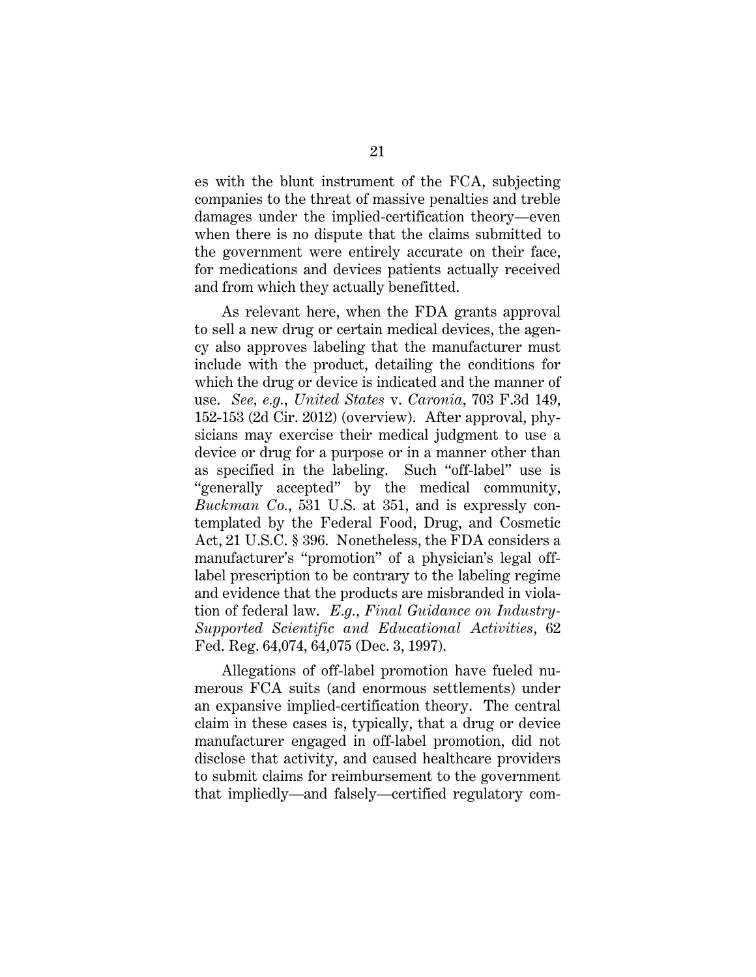es with the blunt instrument of the FCA, subjecting companies to the threat of massive penalties and treble damages under the implied-certification theory—even when there is no dispute that the claims submitted to the government were entirely accurate on their face, for medications and devices patients actually received and from which they actually benefitted.

As relevant here, when the FDA grants approval to sell a new drug or certain medical devices, the agency also approves labeling that the manufacturer must include with the product, detailing the conditions for which the drug or device is indicated and the manner of use. *See, e.g.*, *United States* v. *Caronia*, 703 F.3d 149, 152-153 (2d Cir. 2012) (overview). After approval, physicians may exercise their medical judgment to use a device or drug for a purpose or in a manner other than as specified in the labeling. Such "off-label" use is "generally accepted" by the medical community, *Buckman Co.*, 531 U.S. at 351, and is expressly contemplated by the Federal Food, Drug, and Cosmetic Act, 21 U.S.C. § 396. Nonetheless, the FDA considers a manufacturer's "promotion" of a physician's legal offlabel prescription to be contrary to the labeling regime and evidence that the products are misbranded in violation of federal law. *E.g.*, *Final Guidance on Industry-Supported Scientific and Educational Activities*, 62 Fed. Reg. 64,074, 64,075 (Dec. 3, 1997).

Allegations of off-label promotion have fueled numerous FCA suits (and enormous settlements) under an expansive implied-certification theory. The central claim in these cases is, typically, that a drug or device manufacturer engaged in off-label promotion, did not disclose that activity, and caused healthcare providers to submit claims for reimbursement to the government that impliedly—and falsely—certified regulatory com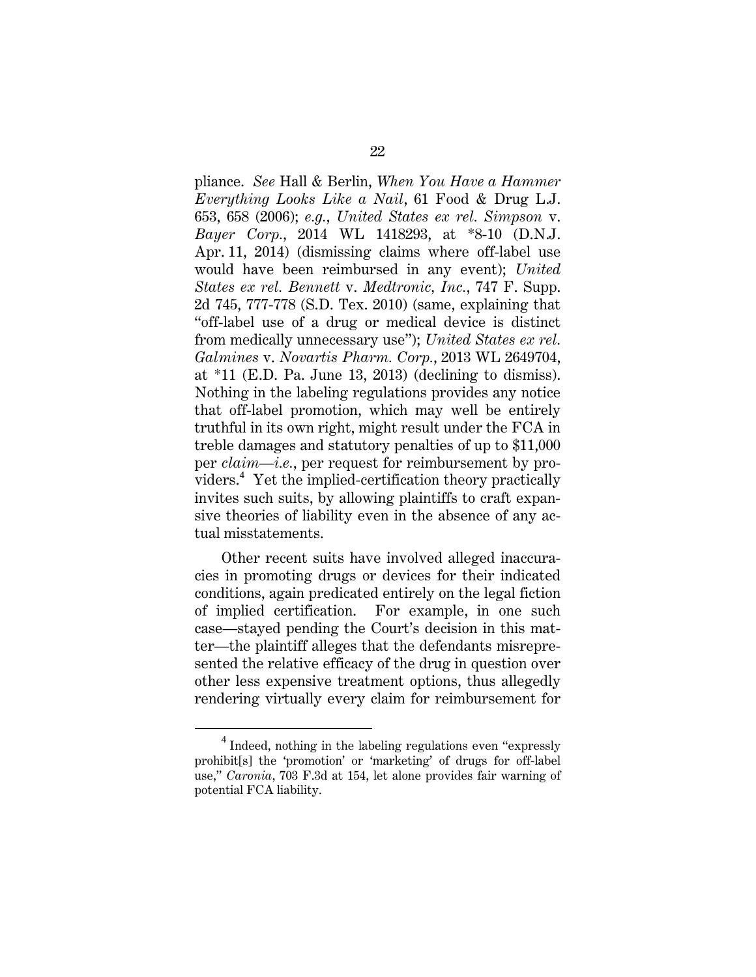pliance. *See* Hall & Berlin, *When You Have a Hammer Everything Looks Like a Nail*, 61 Food & Drug L.J. 653, 658 (2006); *e.g.*, *United States ex rel. Simpson* v. *Bayer Corp.*, 2014 WL 1418293, at \*8-10 (D.N.J. Apr. 11, 2014) (dismissing claims where off-label use would have been reimbursed in any event); *United States ex rel. Bennett* v. *Medtronic, Inc.*, 747 F. Supp. 2d 745, 777-778 (S.D. Tex. 2010) (same, explaining that "off-label use of a drug or medical device is distinct from medically unnecessary use"); *United States ex rel. Galmines* v. *Novartis Pharm. Corp.*, 2013 WL 2649704, at  $*11$  (E.D. Pa. June 13, 2013) (declining to dismiss). Nothing in the labeling regulations provides any notice that off-label promotion, which may well be entirely truthful in its own right, might result under the FCA in treble damages and statutory penalties of up to \$11,000 per *claim*—*i.e.*, per request for reimbursement by providers.<sup>4</sup> Yet the implied-certification theory practically invites such suits, by allowing plaintiffs to craft expansive theories of liability even in the absence of any actual misstatements.

Other recent suits have involved alleged inaccuracies in promoting drugs or devices for their indicated conditions, again predicated entirely on the legal fiction of implied certification. For example, in one such case—stayed pending the Court's decision in this matter—the plaintiff alleges that the defendants misrepresented the relative efficacy of the drug in question over other less expensive treatment options, thus allegedly rendering virtually every claim for reimbursement for

 $\overline{4}$  $4$  Indeed, nothing in the labeling regulations even "expressly prohibit[s] the 'promotion' or 'marketing' of drugs for off-label use," *Caronia*, 703 F.3d at 154, let alone provides fair warning of potential FCA liability.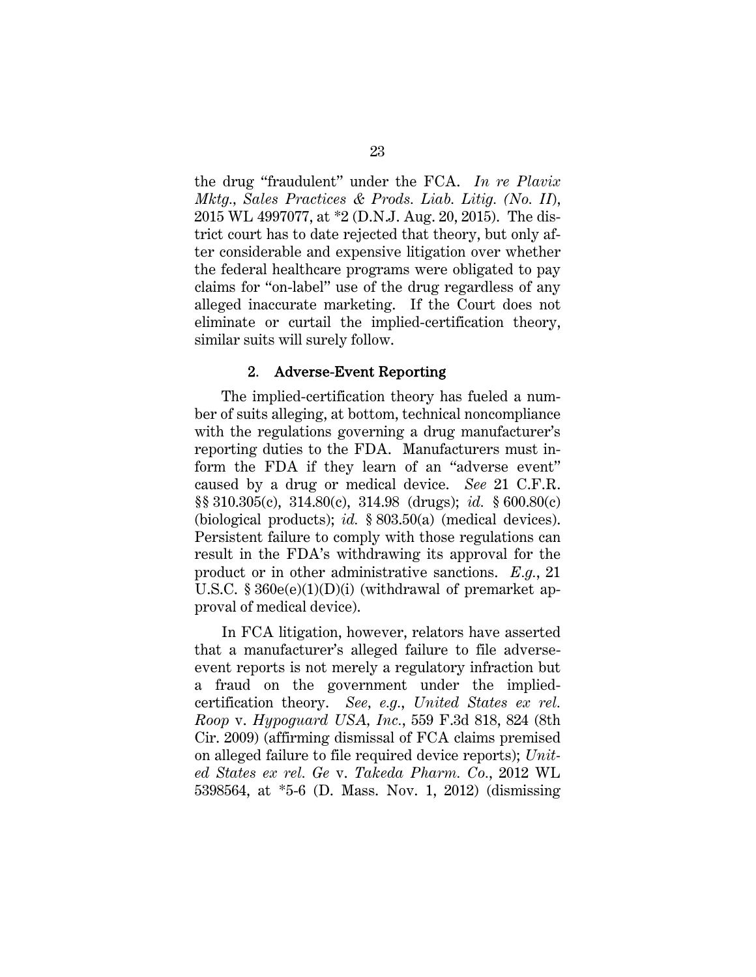the drug "fraudulent" under the FCA. *In re Plavix Mktg., Sales Practices & Prods. Liab. Litig. (No. II*), 2015 WL 4997077, at \*2 (D.N.J. Aug. 20, 2015). The district court has to date rejected that theory, but only after considerable and expensive litigation over whether the federal healthcare programs were obligated to pay claims for "on-label" use of the drug regardless of any alleged inaccurate marketing. If the Court does not eliminate or curtail the implied-certification theory, similar suits will surely follow.

#### 2. Adverse-Event Reporting

The implied-certification theory has fueled a number of suits alleging, at bottom, technical noncompliance with the regulations governing a drug manufacturer's reporting duties to the FDA. Manufacturers must inform the FDA if they learn of an "adverse event" caused by a drug or medical device. *See* 21 C.F.R. §§ 310.305(c), 314.80(c), 314.98 (drugs); *id.* § 600.80(c) (biological products); *id.* § 803.50(a) (medical devices). Persistent failure to comply with those regulations can result in the FDA's withdrawing its approval for the product or in other administrative sanctions. *E.g.*, 21 U.S.C.  $§ 360e(e)(1)(D)(i)$  (withdrawal of premarket approval of medical device).

In FCA litigation, however, relators have asserted that a manufacturer's alleged failure to file adverseevent reports is not merely a regulatory infraction but a fraud on the government under the impliedcertification theory. *See, e.g.*, *United States ex rel. Roop* v. *Hypoguard USA, Inc.*, 559 F.3d 818, 824 (8th Cir. 2009) (affirming dismissal of FCA claims premised on alleged failure to file required device reports); *United States ex rel. Ge* v. *Takeda Pharm. Co.*, 2012 WL 5398564, at \*5-6 (D. Mass. Nov. 1, 2012) (dismissing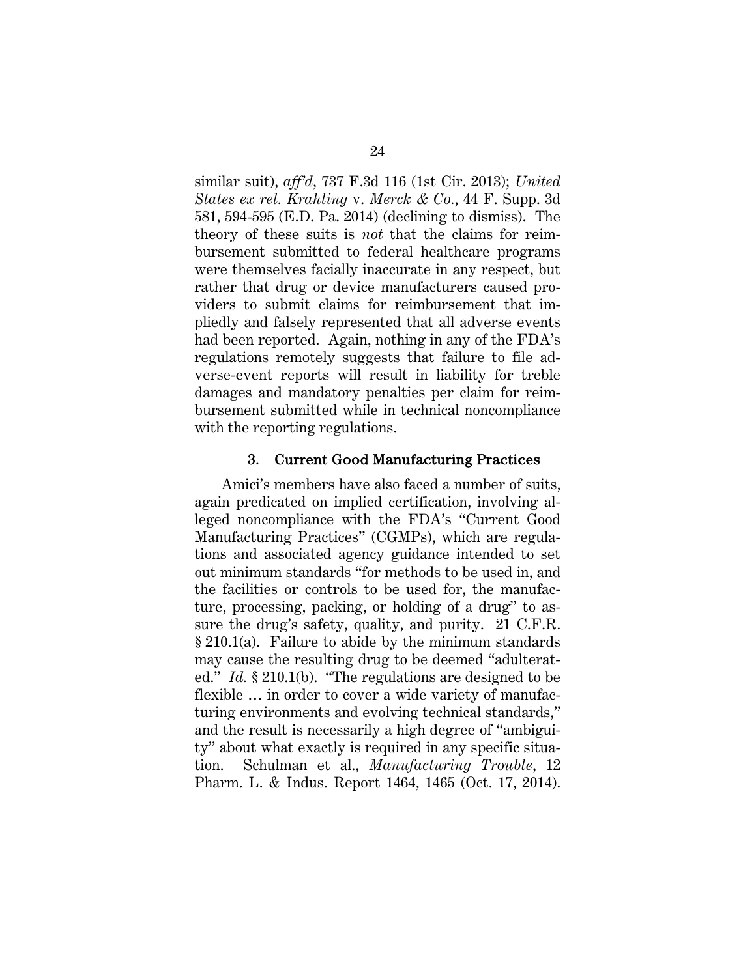similar suit), *aff'd*, 737 F.3d 116 (1st Cir. 2013); *United States ex rel. Krahling* v. *Merck & Co.*, 44 F. Supp. 3d 581, 594-595 (E.D. Pa. 2014) (declining to dismiss). The theory of these suits is *not* that the claims for reimbursement submitted to federal healthcare programs were themselves facially inaccurate in any respect, but rather that drug or device manufacturers caused providers to submit claims for reimbursement that impliedly and falsely represented that all adverse events had been reported. Again, nothing in any of the FDA's regulations remotely suggests that failure to file adverse-event reports will result in liability for treble damages and mandatory penalties per claim for reimbursement submitted while in technical noncompliance with the reporting regulations.

#### 3. Current Good Manufacturing Practices

Amici's members have also faced a number of suits, again predicated on implied certification, involving alleged noncompliance with the FDA's "Current Good Manufacturing Practices" (CGMPs), which are regulations and associated agency guidance intended to set out minimum standards "for methods to be used in, and the facilities or controls to be used for, the manufacture, processing, packing, or holding of a drug" to assure the drug's safety, quality, and purity. 21 C.F.R. § 210.1(a). Failure to abide by the minimum standards may cause the resulting drug to be deemed "adulterated." *Id.* § 210.1(b). "The regulations are designed to be flexible … in order to cover a wide variety of manufacturing environments and evolving technical standards," and the result is necessarily a high degree of "ambiguity" about what exactly is required in any specific situation. Schulman et al., *Manufacturing Trouble*, 12 Pharm. L. & Indus. Report 1464, 1465 (Oct. 17, 2014).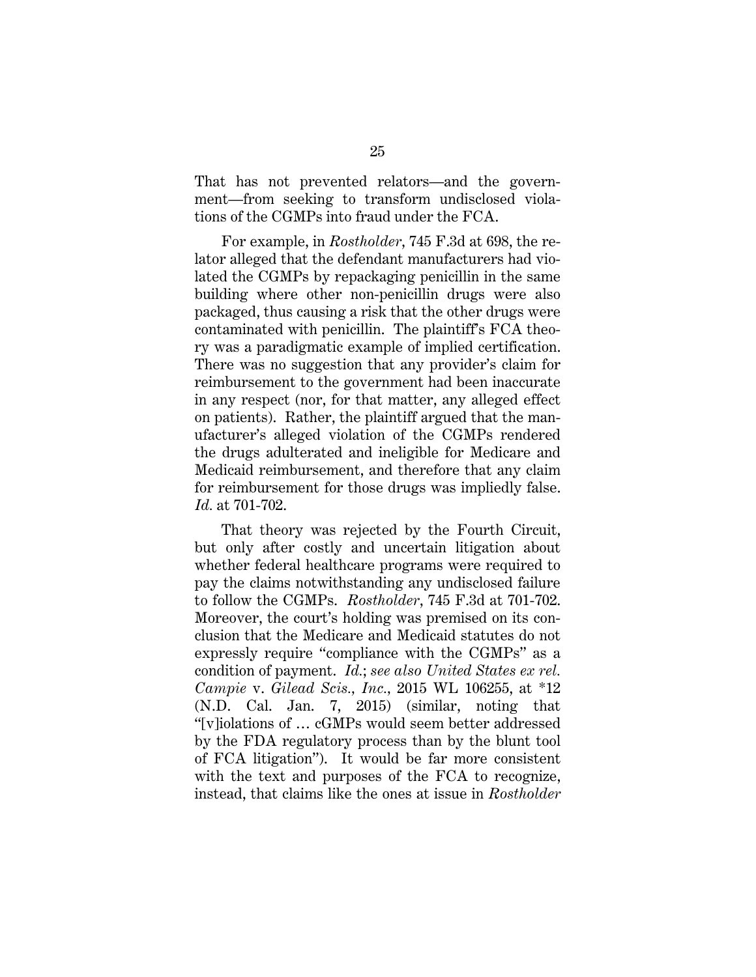That has not prevented relators—and the government—from seeking to transform undisclosed violations of the CGMPs into fraud under the FCA.

For example, in *Rostholder*, 745 F.3d at 698, the relator alleged that the defendant manufacturers had violated the CGMPs by repackaging penicillin in the same building where other non-penicillin drugs were also packaged, thus causing a risk that the other drugs were contaminated with penicillin. The plaintiff's FCA theory was a paradigmatic example of implied certification. There was no suggestion that any provider's claim for reimbursement to the government had been inaccurate in any respect (nor, for that matter, any alleged effect on patients). Rather, the plaintiff argued that the manufacturer's alleged violation of the CGMPs rendered the drugs adulterated and ineligible for Medicare and Medicaid reimbursement, and therefore that any claim for reimbursement for those drugs was impliedly false. *Id.* at 701-702.

That theory was rejected by the Fourth Circuit, but only after costly and uncertain litigation about whether federal healthcare programs were required to pay the claims notwithstanding any undisclosed failure to follow the CGMPs. *Rostholder*, 745 F.3d at 701-702. Moreover, the court's holding was premised on its conclusion that the Medicare and Medicaid statutes do not expressly require "compliance with the CGMPs" as a condition of payment. *Id.*; *see also United States ex rel. Campie* v. *Gilead Scis., Inc.,* 2015 WL 106255, at \*12 (N.D. Cal. Jan. 7, 2015) (similar, noting that "[v]iolations of … cGMPs would seem better addressed by the FDA regulatory process than by the blunt tool of FCA litigation").It would be far more consistent with the text and purposes of the FCA to recognize, instead, that claims like the ones at issue in *Rostholder*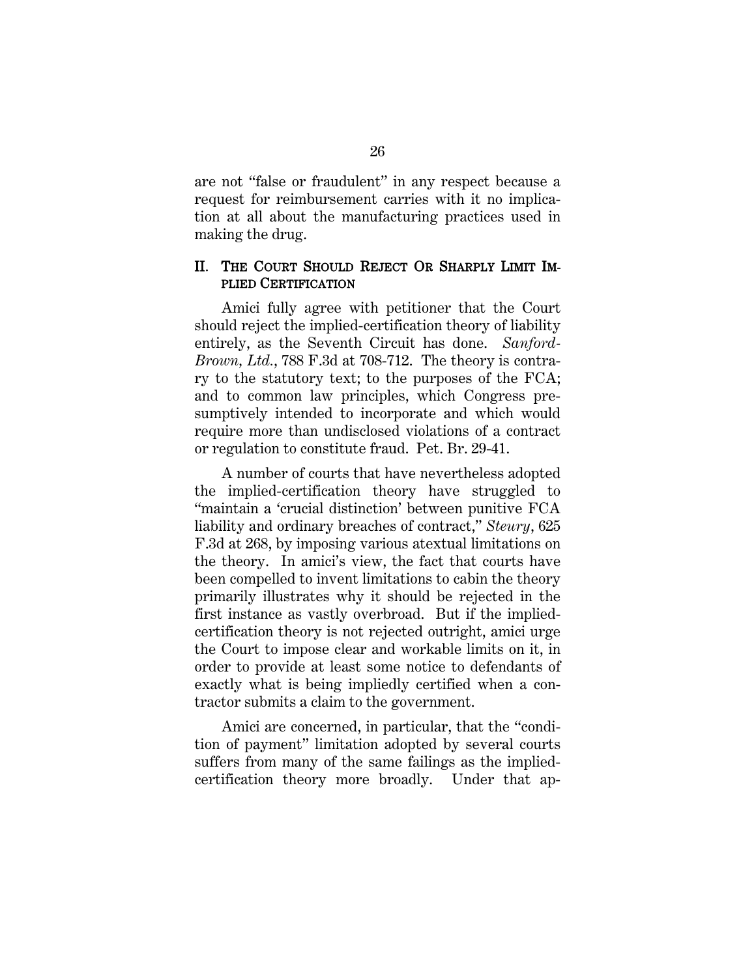are not "false or fraudulent" in any respect because a request for reimbursement carries with it no implication at all about the manufacturing practices used in making the drug.

#### II. THE COURT SHOULD REJECT OR SHARPLY LIMIT IM-PLIED CERTIFICATION

Amici fully agree with petitioner that the Court should reject the implied-certification theory of liability entirely, as the Seventh Circuit has done. *Sanford-Brown, Ltd.*, 788 F.3d at 708-712. The theory is contrary to the statutory text; to the purposes of the FCA; and to common law principles, which Congress presumptively intended to incorporate and which would require more than undisclosed violations of a contract or regulation to constitute fraud. Pet. Br. 29-41.

A number of courts that have nevertheless adopted the implied-certification theory have struggled to "maintain a 'crucial distinction' between punitive FCA liability and ordinary breaches of contract," *Steury*, 625 F.3d at 268, by imposing various atextual limitations on the theory. In amici's view, the fact that courts have been compelled to invent limitations to cabin the theory primarily illustrates why it should be rejected in the first instance as vastly overbroad. But if the impliedcertification theory is not rejected outright, amici urge the Court to impose clear and workable limits on it, in order to provide at least some notice to defendants of exactly what is being impliedly certified when a contractor submits a claim to the government.

Amici are concerned, in particular, that the "condition of payment" limitation adopted by several courts suffers from many of the same failings as the impliedcertification theory more broadly. Under that ap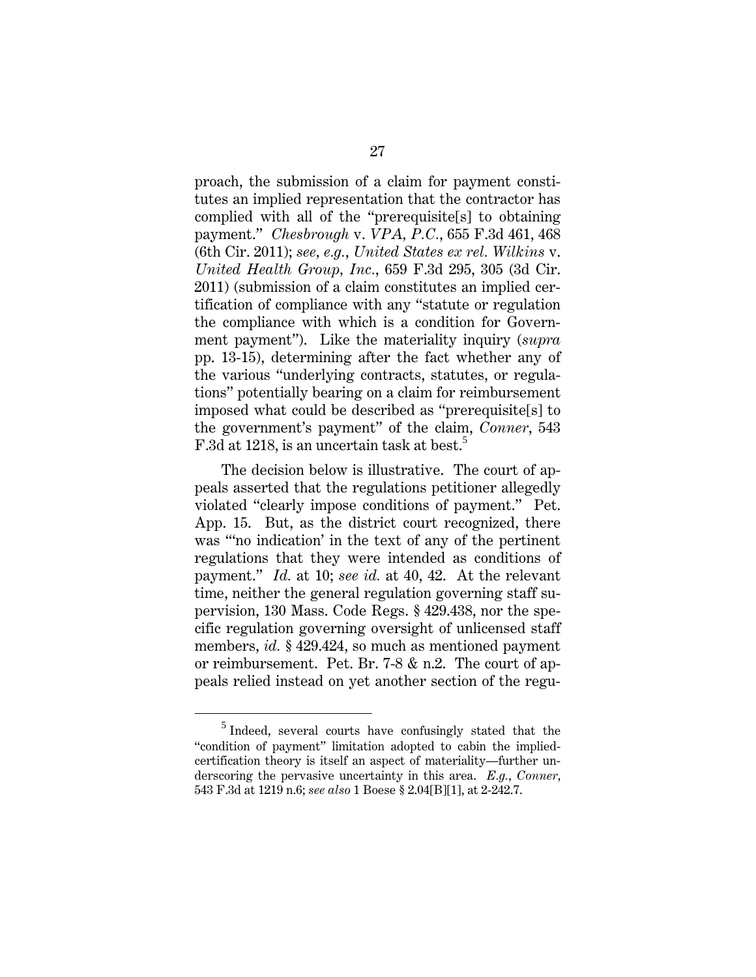proach, the submission of a claim for payment constitutes an implied representation that the contractor has complied with all of the "prerequisite[s] to obtaining payment." *Chesbrough* v. *VPA, P.C.*, 655 F.3d 461, 468 (6th Cir. 2011); *see, e.g.*, *United States ex rel. Wilkins* v. *United Health Group, Inc.*, 659 F.3d 295, 305 (3d Cir. 2011) (submission of a claim constitutes an implied certification of compliance with any "statute or regulation the compliance with which is a condition for Government payment"). Like the materiality inquiry (*supra*  pp. 13-15), determining after the fact whether any of the various "underlying contracts, statutes, or regulations" potentially bearing on a claim for reimbursement imposed what could be described as "prerequisite[s] to the government's payment" of the claim, *Conner*, 543 F.3d at 1218, is an uncertain task at best.<sup>5</sup>

The decision below is illustrative. The court of appeals asserted that the regulations petitioner allegedly violated "clearly impose conditions of payment." Pet. App. 15. But, as the district court recognized, there was "'no indication' in the text of any of the pertinent regulations that they were intended as conditions of payment." *Id.* at 10; *see id.* at 40, 42. At the relevant time, neither the general regulation governing staff supervision, 130 Mass. Code Regs. § 429.438, nor the specific regulation governing oversight of unlicensed staff members, *id.* § 429.424, so much as mentioned payment or reimbursement. Pet. Br. 7-8 & n.2. The court of appeals relied instead on yet another section of the regu-

 $\frac{1}{5}$  $<sup>5</sup>$  Indeed, several courts have confusingly stated that the</sup> "condition of payment" limitation adopted to cabin the impliedcertification theory is itself an aspect of materiality—further underscoring the pervasive uncertainty in this area. *E.g.*, *Conner*, 543 F.3d at 1219 n.6; *see also* 1 Boese § 2.04[B][1], at 2-242.7.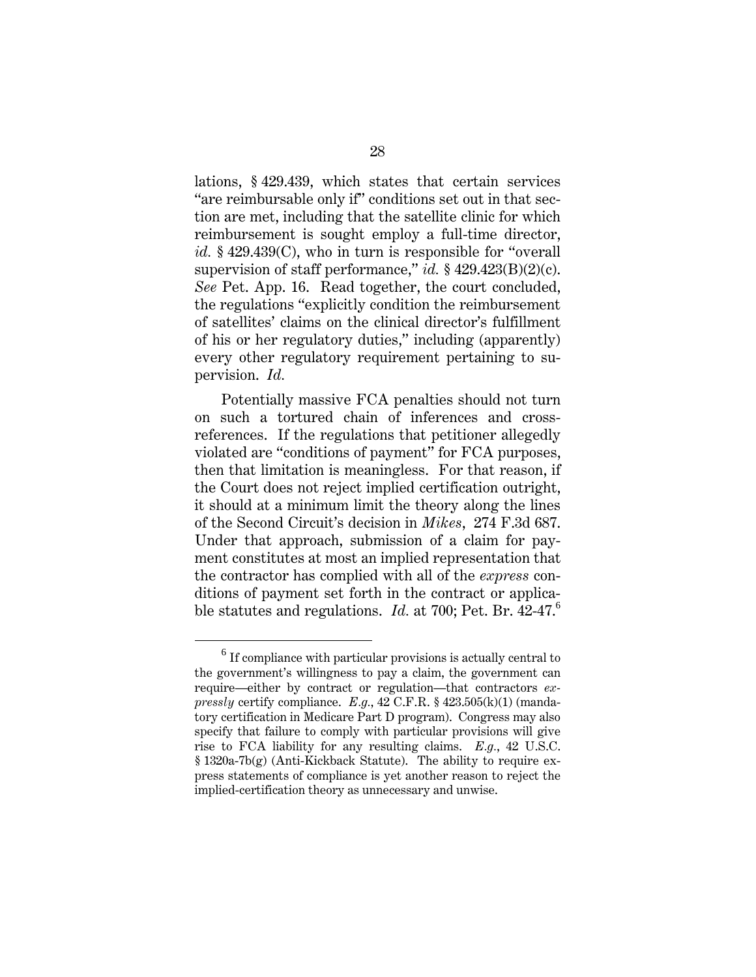lations, § 429.439, which states that certain services "are reimbursable only if" conditions set out in that section are met, including that the satellite clinic for which reimbursement is sought employ a full-time director, *id.* § 429.439(C), who in turn is responsible for "overall supervision of staff performance," *id.* § 429.423(B)(2)(c). *See* Pet. App. 16. Read together, the court concluded, the regulations "explicitly condition the reimbursement of satellites' claims on the clinical director's fulfillment of his or her regulatory duties," including (apparently) every other regulatory requirement pertaining to supervision. *Id.*

Potentially massive FCA penalties should not turn on such a tortured chain of inferences and crossreferences. If the regulations that petitioner allegedly violated are "conditions of payment" for FCA purposes, then that limitation is meaningless. For that reason, if the Court does not reject implied certification outright, it should at a minimum limit the theory along the lines of the Second Circuit's decision in *Mikes*, 274 F.3d 687. Under that approach, submission of a claim for payment constitutes at most an implied representation that the contractor has complied with all of the *express* conditions of payment set forth in the contract or applicable statutes and regulations. *Id.* at 700; Pet. Br. 42-47.<sup>6</sup>

<sup>6</sup>  $6$  If compliance with particular provisions is actually central to the government's willingness to pay a claim, the government can require—either by contract or regulation—that contractors *expressly* certify compliance. *E.g.*, 42 C.F.R. § 423.505(k)(1) (mandatory certification in Medicare Part D program). Congress may also specify that failure to comply with particular provisions will give rise to FCA liability for any resulting claims. *E.g.*, 42 U.S.C. § 1320a-7b(g) (Anti-Kickback Statute). The ability to require express statements of compliance is yet another reason to reject the implied-certification theory as unnecessary and unwise.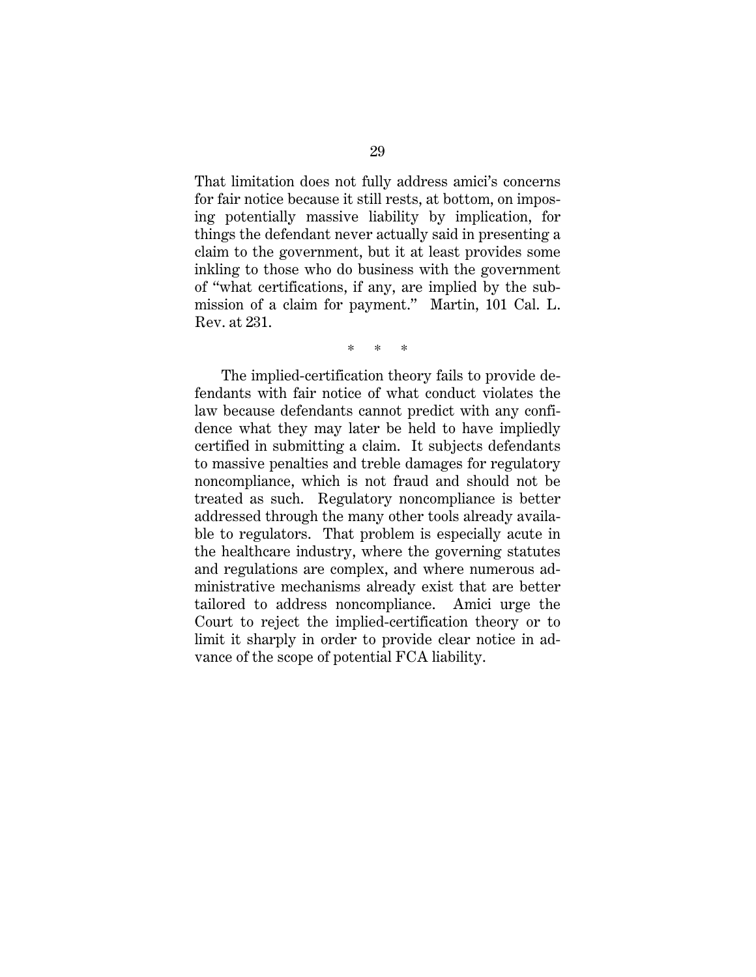That limitation does not fully address amici's concerns for fair notice because it still rests, at bottom, on imposing potentially massive liability by implication, for things the defendant never actually said in presenting a claim to the government, but it at least provides some inkling to those who do business with the government of "what certifications, if any, are implied by the submission of a claim for payment." Martin, 101 Cal. L. Rev. at 231.

\* \* \*

The implied-certification theory fails to provide defendants with fair notice of what conduct violates the law because defendants cannot predict with any confidence what they may later be held to have impliedly certified in submitting a claim. It subjects defendants to massive penalties and treble damages for regulatory noncompliance, which is not fraud and should not be treated as such. Regulatory noncompliance is better addressed through the many other tools already available to regulators. That problem is especially acute in the healthcare industry, where the governing statutes and regulations are complex, and where numerous administrative mechanisms already exist that are better tailored to address noncompliance. Amici urge the Court to reject the implied-certification theory or to limit it sharply in order to provide clear notice in advance of the scope of potential FCA liability.